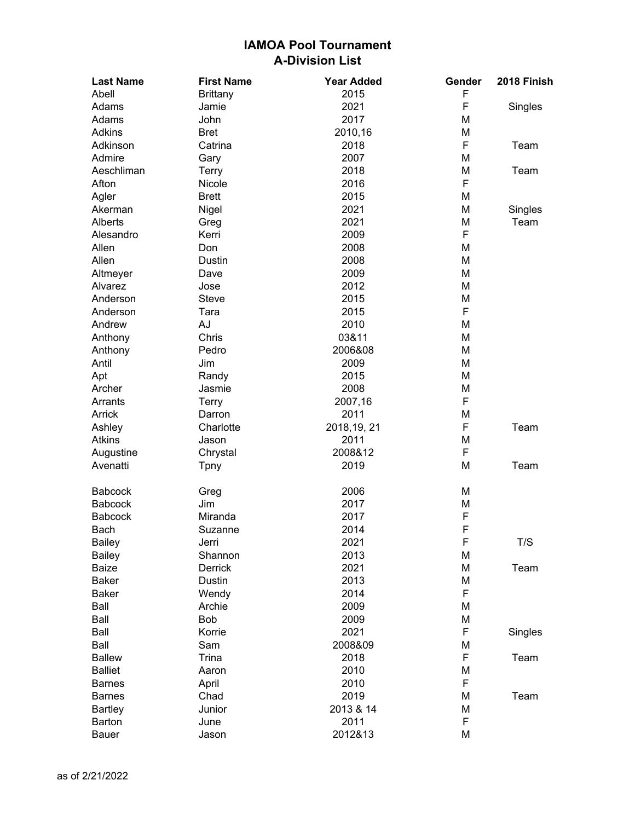| <b>Last Name</b> | <b>First Name</b> | <b>Year Added</b> | Gender | 2018 Finish |
|------------------|-------------------|-------------------|--------|-------------|
| Abell            | <b>Brittany</b>   | 2015              | F      |             |
| Adams            | Jamie             | 2021              | F      | Singles     |
| Adams            | John              | 2017              | M      |             |
| <b>Adkins</b>    | <b>Bret</b>       | 2010,16           | M      |             |
| Adkinson         | Catrina           | 2018              | F      | Team        |
| Admire           | Gary              | 2007              | M      |             |
| Aeschliman       | <b>Terry</b>      | 2018              | M      | Team        |
| Afton            | Nicole            | 2016              | F      |             |
| Agler            | <b>Brett</b>      | 2015              | M      |             |
| Akerman          | Nigel             | 2021              | M      | Singles     |
| Alberts          | Greg              | 2021              | M      | Team        |
| Alesandro        | Kerri             | 2009              | F      |             |
| Allen            | Don               | 2008              | M      |             |
| Allen            | Dustin            | 2008              | M      |             |
| Altmeyer         | Dave              | 2009              | M      |             |
| Alvarez          | Jose              | 2012              | M      |             |
| Anderson         | Steve             | 2015              | M      |             |
| Anderson         | Tara              | 2015              | F      |             |
| Andrew           | AJ                | 2010              | M      |             |
| Anthony          | Chris             | 03&11             | M      |             |
| Anthony          | Pedro             | 2006&08           | M      |             |
| Antil            | Jim               | 2009              | M      |             |
| Apt              | Randy             | 2015              | M      |             |
| Archer           | Jasmie            | 2008              | M      |             |
| Arrants          | Terry             | 2007,16           | F      |             |
| Arrick           | Darron            | 2011              | M      |             |
| Ashley           | Charlotte         | 2018, 19, 21      | F      | Team        |
| <b>Atkins</b>    | Jason             | 2011              | M      |             |
| Augustine        | Chrystal          | 2008&12           | F      |             |
| Avenatti         | Tpny              | 2019              | M      | Team        |
|                  |                   |                   |        |             |
| <b>Babcock</b>   | Greg              | 2006              | M      |             |
| <b>Babcock</b>   | Jim               | 2017              | M      |             |
| <b>Babcock</b>   | Miranda           | 2017              | F      |             |
| Bach             | Suzanne           | 2014              | F      |             |
| Bailey           | Jerri             | 2021              | F      | T/S         |
| Bailey           | Shannon           | 2013              | M      |             |
| <b>Baize</b>     | Derrick           | 2021              | M      | Team        |
| <b>Baker</b>     | Dustin            | 2013              | M      |             |
| <b>Baker</b>     | Wendy             | 2014              | F      |             |
| Ball             | Archie            | 2009              | M      |             |
| Ball             | Bob               | 2009              | M      |             |
| Ball             | Korrie            | 2021              | F      | Singles     |
| Ball             | Sam               | 2008&09           | М      |             |
| <b>Ballew</b>    | <b>Trina</b>      | 2018              | F      | Team        |
| <b>Balliet</b>   | Aaron             | 2010              | M      |             |
| <b>Barnes</b>    | April             | 2010              | F      |             |
| <b>Barnes</b>    | Chad              | 2019              | M      | Team        |
| <b>Bartley</b>   | Junior            | 2013 & 14         | M      |             |
| Barton           | June              | 2011              | F      |             |
| <b>Bauer</b>     | Jason             | 2012&13           | M      |             |
|                  |                   |                   |        |             |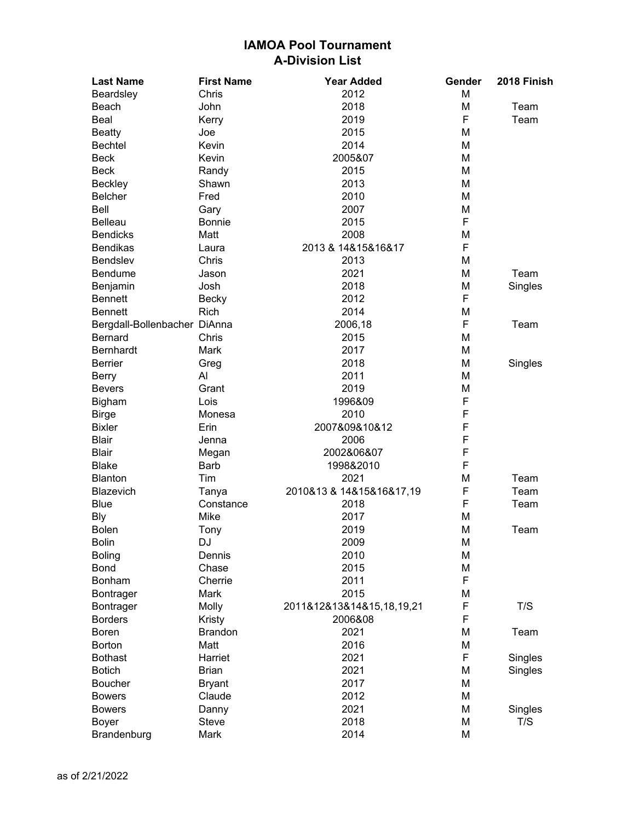| <b>Last Name</b>             | <b>First Name</b> | <b>Year Added</b>         | Gender | 2018 Finish |
|------------------------------|-------------------|---------------------------|--------|-------------|
| Beardsley                    | Chris             | 2012                      | M      |             |
| Beach                        | John              | 2018                      | Μ      | Team        |
| Beal                         | Kerry             | 2019                      | F      | Team        |
| <b>Beatty</b>                | Joe               | 2015                      | Μ      |             |
| <b>Bechtel</b>               | Kevin             | 2014                      | Μ      |             |
| <b>Beck</b>                  | Kevin             | 2005&07                   | Μ      |             |
| <b>Beck</b>                  | Randy             | 2015                      | Μ      |             |
| <b>Beckley</b>               | Shawn             | 2013                      | Μ      |             |
| <b>Belcher</b>               | Fred              | 2010                      | Μ      |             |
| Bell                         | Gary              | 2007                      | Μ      |             |
| <b>Belleau</b>               | <b>Bonnie</b>     | 2015                      | F      |             |
| <b>Bendicks</b>              | Matt              | 2008                      | Μ      |             |
| <b>Bendikas</b>              | Laura             | 2013 & 14&15&16&17        | F      |             |
| <b>Bendslev</b>              | Chris             | 2013                      | Μ      |             |
| <b>Bendume</b>               | Jason             | 2021                      | Μ      | Team        |
| Benjamin                     | Josh              | 2018                      | Μ      | Singles     |
| <b>Bennett</b>               | <b>Becky</b>      | 2012                      | F      |             |
| <b>Bennett</b>               | Rich              | 2014                      | Μ      |             |
| Bergdall-Bollenbacher DiAnna |                   | 2006,18                   | F      | Team        |
| <b>Bernard</b>               | Chris             | 2015                      | Μ      |             |
| <b>Bernhardt</b>             | <b>Mark</b>       | 2017                      | Μ      |             |
| <b>Berrier</b>               | Greg              | 2018                      | Μ      | Singles     |
| <b>Berry</b>                 | Al                | 2011                      | Μ      |             |
| <b>Bevers</b>                | Grant             | 2019                      | M      |             |
| <b>Bigham</b>                | Lois              | 1996&09                   | F      |             |
| <b>Birge</b>                 | Monesa            | 2010                      | F      |             |
| <b>Bixler</b>                | Erin              | 2007&09&10&12             | F      |             |
| <b>Blair</b>                 |                   | 2006                      | F      |             |
| <b>Blair</b>                 | Jenna             | 2002&06&07                | F      |             |
| <b>Blake</b>                 | Megan<br>Barb     | 1998&2010                 | F      |             |
|                              |                   |                           |        |             |
| <b>Blanton</b><br>Blazevich  | Tim               | 2021                      | Μ<br>F | Team        |
|                              | Tanya             | 2010&13 & 14&15&16&17,19  | F      | Team        |
| <b>Blue</b>                  | Constance         | 2018                      |        | Team        |
| <b>Bly</b>                   | Mike              | 2017                      | M      |             |
| <b>Bolen</b>                 | Tony              | 2019                      | Μ      | Team        |
| <b>Bolin</b>                 | DJ                | 2009                      | M      |             |
| <b>Boling</b>                | Dennis            | 2010                      | Μ      |             |
| <b>Bond</b>                  | Chase             | 2015                      | Μ      |             |
| Bonham                       | Cherrie           | 2011                      | F      |             |
| Bontrager                    | Mark              | 2015                      | M      |             |
| Bontrager                    | Molly             | 2011&12&13&14&15,18,19,21 | F      | T/S         |
| <b>Borders</b>               | Kristy            | 2006&08                   | F      |             |
| <b>Boren</b>                 | <b>Brandon</b>    | 2021                      | Μ      | Team        |
| <b>Borton</b>                | Matt              | 2016                      | Μ      |             |
| <b>Bothast</b>               | Harriet           | 2021                      | F      | Singles     |
| <b>Botich</b>                | <b>Brian</b>      | 2021                      | Μ      | Singles     |
| <b>Boucher</b>               | <b>Bryant</b>     | 2017                      | Μ      |             |
| <b>Bowers</b>                | Claude            | 2012                      | M      |             |
| <b>Bowers</b>                | Danny             | 2021                      | Μ      | Singles     |
| Boyer                        | Steve             | 2018                      | M      | T/S         |
| Brandenburg                  | Mark              | 2014                      | M      |             |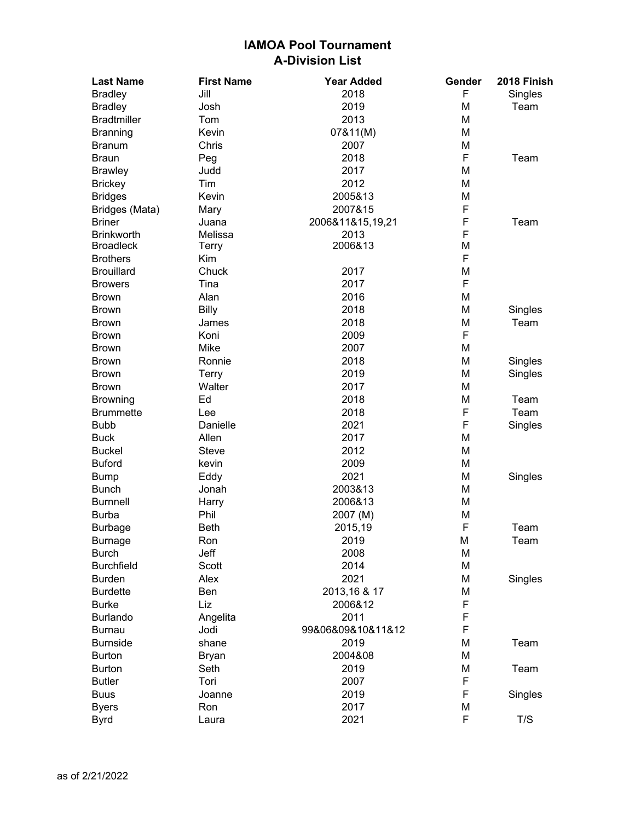| <b>Last Name</b>                  | <b>First Name</b> | <b>Year Added</b>        | Gender | 2018 Finish |
|-----------------------------------|-------------------|--------------------------|--------|-------------|
| <b>Bradley</b>                    | Jill              | 2018                     | F      | Singles     |
| <b>Bradley</b>                    | Josh              | 2019                     | M      | Team        |
| <b>Bradtmiller</b>                | Tom               | 2013                     | M      |             |
| <b>Branning</b>                   | Kevin             | 07&11(M)                 | M      |             |
| <b>Branum</b>                     | Chris             | 2007                     | M      |             |
| <b>Braun</b>                      | Peg               | 2018                     | F      | Team        |
| <b>Brawley</b>                    | Judd              | 2017                     | M      |             |
| <b>Brickey</b>                    | Tim               | 2012                     | M      |             |
| <b>Bridges</b>                    | Kevin             | 2005&13                  | M      |             |
| Bridges (Mata)                    | Mary              | 2007&15                  | F      |             |
| <b>Briner</b>                     | Juana             | 2006&11&15,19,21         | F      | Team        |
| <b>Brinkworth</b>                 | Melissa           | 2013                     | F      |             |
| <b>Broadleck</b>                  | <b>Terry</b>      | 2006&13                  | M      |             |
| <b>Brothers</b>                   | Kim               |                          | F      |             |
| <b>Brouillard</b>                 | Chuck             | 2017                     | M      |             |
| <b>Browers</b>                    | Tina              | 2017                     | F      |             |
| <b>Brown</b>                      | Alan              | 2016                     | M      |             |
| <b>Brown</b>                      | <b>Billy</b>      | 2018                     | M      | Singles     |
| <b>Brown</b>                      | James             | 2018                     | M      | Team        |
| <b>Brown</b>                      | Koni              | 2009                     | F      |             |
| <b>Brown</b>                      | Mike              | 2007                     | M      |             |
| <b>Brown</b>                      | Ronnie            | 2018                     | M      | Singles     |
| <b>Brown</b>                      | <b>Terry</b>      | 2019                     | M      | Singles     |
| <b>Brown</b>                      | Walter            | 2017                     | M      |             |
| <b>Browning</b>                   | Ed                | 2018                     | M      | Team        |
| <b>Brummette</b>                  | Lee               | 2018                     | F      | Team        |
| <b>Bubb</b>                       | Danielle          | 2021                     | F      | Singles     |
| <b>Buck</b>                       | Allen             | 2017                     | M      |             |
| <b>Buckel</b>                     | Steve             | 2012                     | M      |             |
| <b>Buford</b>                     | kevin             | 2009                     | M      |             |
| <b>Bump</b>                       | Eddy              | 2021                     | M      | Singles     |
| <b>Bunch</b>                      | Jonah             | 2003&13                  | M      |             |
| <b>Burnnell</b>                   | Harry             | 2006&13                  | M      |             |
| <b>Burba</b>                      | Phil              | 2007 (M)                 | M      |             |
| <b>Burbage</b>                    | <b>Beth</b>       | 2015,19                  | F      | Team        |
| <b>Burnage</b>                    | Ron               | 2019                     | M      | Team        |
|                                   | Jeff              | 2008                     |        |             |
| <b>Burch</b><br><b>Burchfield</b> | Scott             | 2014                     | M<br>M |             |
| <b>Burden</b>                     | Alex              | 2021                     | M      | Singles     |
| <b>Burdette</b>                   | Ben               |                          | M      |             |
| <b>Burke</b>                      | Liz               | 2013, 16 & 17<br>2006&12 | F      |             |
| <b>Burlando</b>                   |                   | 2011                     | F      |             |
|                                   | Angelita          |                          | F      |             |
| <b>Burnau</b>                     | Jodi              | 99&06&09&10&11&12        |        |             |
| <b>Burnside</b>                   | shane             | 2019                     | M      | Team        |
| <b>Burton</b>                     | <b>Bryan</b>      | 2004&08                  | M      |             |
| <b>Burton</b>                     | Seth              | 2019                     | M      | Team        |
| <b>Butler</b>                     | Tori              | 2007                     | F      |             |
| <b>Buus</b>                       | Joanne            | 2019                     | F      | Singles     |
| <b>Byers</b>                      | Ron               | 2017                     | M      |             |
| <b>Byrd</b>                       | Laura             | 2021                     | F      | T/S         |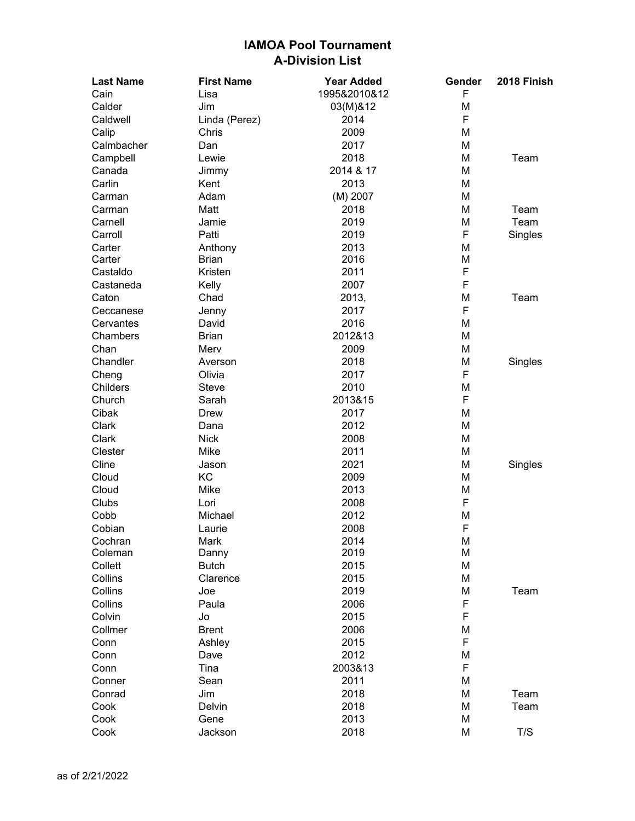| <b>Last Name</b> | <b>First Name</b> | <b>Year Added</b> | Gender | 2018 Finish |
|------------------|-------------------|-------------------|--------|-------------|
| Cain             | Lisa              | 1995&2010&12      | F      |             |
| Calder           | Jim               | 03(M)&12          | M      |             |
| Caldwell         | Linda (Perez)     | 2014              | F      |             |
| Calip            | Chris             | 2009              | M      |             |
| Calmbacher       | Dan               | 2017              | M      |             |
| Campbell         | Lewie             | 2018              | M      | Team        |
| Canada           | Jimmy             | 2014 & 17         | M      |             |
| Carlin           | Kent              | 2013              | M      |             |
| Carman           | Adam              | (M) 2007          | M      |             |
| Carman           | Matt              | 2018              | M      | Team        |
| Carnell          | Jamie             | 2019              | М      | Team        |
| Carroll          | Patti             | 2019              | F      | Singles     |
| Carter           | Anthony           | 2013              | М      |             |
| Carter           | <b>Brian</b>      | 2016              | Μ      |             |
| Castaldo         | Kristen           | 2011              | F      |             |
| Castaneda        | Kelly             | 2007              | F      |             |
| Caton            | Chad              | 2013,             | M      | Team        |
| Ceccanese        | Jenny             | 2017              | F      |             |
| Cervantes        | David             | 2016              | M      |             |
| Chambers         | <b>Brian</b>      | 2012&13           | M      |             |
| Chan             | Merv              | 2009              | Μ      |             |
| Chandler         | Averson           | 2018              | Μ      | Singles     |
| Cheng            | Olivia            | 2017              | F      |             |
| <b>Childers</b>  | Steve             | 2010              | M      |             |
| Church           | Sarah             | 2013&15           | F      |             |
| Cibak            | Drew              | 2017              | M      |             |
| Clark            | Dana              | 2012              | M      |             |
| Clark            | <b>Nick</b>       | 2008              | M      |             |
| Clester          | Mike              | 2011              | M      |             |
| Cline            | Jason             | 2021              | М      | Singles     |
| Cloud            | KC                | 2009              | M      |             |
| Cloud            | Mike              | 2013              | Μ      |             |
| Clubs            | Lori              | 2008              | F      |             |
| Cobb             | Michael           | 2012              | M      |             |
| Cobian           | Laurie            | 2008              | F      |             |
| Cochran          | Mark              | 2014              | M      |             |
| Coleman          | Danny             | 2019              | М      |             |
| Collett          | <b>Butch</b>      | 2015              | M      |             |
| Collins          | Clarence          | 2015              | M      |             |
| Collins          | Joe               | 2019              | M      | Team        |
| Collins          | Paula             | 2006              | F      |             |
| Colvin           | Jo                | 2015              | F      |             |
| Collmer          | <b>Brent</b>      | 2006              | Μ      |             |
| Conn             | Ashley            | 2015              | F      |             |
| Conn             | Dave              | 2012              | M      |             |
| Conn             | Tina              | 2003&13           | F      |             |
| Conner           | Sean              | 2011              | M      |             |
| Conrad           | Jim               | 2018              | M      | Team        |
| Cook             | Delvin            | 2018              | M      | Team        |
| Cook             | Gene              | 2013              | M      |             |
| Cook             | Jackson           | 2018              | M      | T/S         |
|                  |                   |                   |        |             |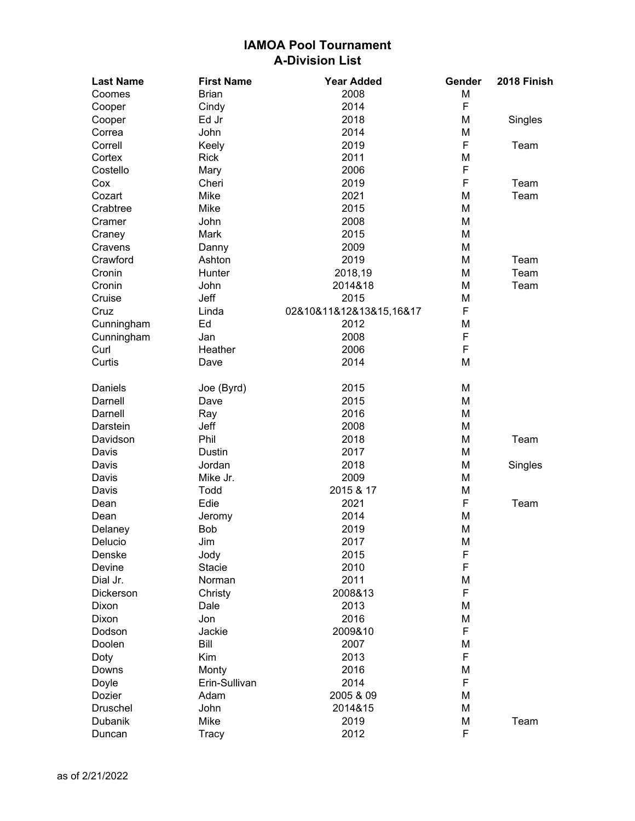| <b>Last Name</b>   | <b>First Name</b> | <b>Year Added</b>       | Gender | 2018 Finish |
|--------------------|-------------------|-------------------------|--------|-------------|
| Coomes             | <b>Brian</b>      | 2008                    | M      |             |
| Cooper             | Cindy             | 2014                    | F      |             |
| Cooper             | Ed Jr             | 2018                    | M      | Singles     |
| Correa             | John              | 2014                    | M      |             |
| Correll            | Keely             | 2019                    | F      | Team        |
| Cortex             | <b>Rick</b>       | 2011                    | Μ      |             |
| Costello           | Mary              | 2006                    | F      |             |
| Cox                | Cheri             | 2019                    | F      | Team        |
| Cozart             | Mike              | 2021                    | M      | Team        |
| Crabtree           | Mike              | 2015                    | M      |             |
| Cramer             | John              | 2008                    | M      |             |
| Craney             | Mark              | 2015                    | M      |             |
| Cravens            | Danny             | 2009                    | M      |             |
| Crawford           | Ashton            | 2019                    | M      | Team        |
| Cronin             | Hunter            | 2018,19                 | M      | Team        |
| Cronin             | John              | 2014&18                 | М      | Team        |
| Cruise             | Jeff              | 2015                    | M      |             |
| Cruz               | Linda             | 02&10&11&12&13&15,16&17 | F      |             |
| Cunningham         | Ed                | 2012                    | M      |             |
|                    | Jan               | 2008                    | F      |             |
| Cunningham<br>Curl | Heather           | 2006                    | F      |             |
|                    |                   |                         |        |             |
| Curtis             | Dave              | 2014                    | M      |             |
| Daniels            | Joe (Byrd)        | 2015                    | M      |             |
| Darnell            | Dave              | 2015                    | M      |             |
| Darnell            | Ray               | 2016                    | M      |             |
| Darstein           | Jeff              | 2008                    | M      |             |
| Davidson           | Phil              | 2018                    | M      | Team        |
| Davis              | Dustin            | 2017                    | M      |             |
| Davis              | Jordan            | 2018                    | M      | Singles     |
| Davis              | Mike Jr.          | 2009                    | M      |             |
| Davis              | Todd              | 2015 & 17               | Μ      |             |
| Dean               | Edie              | 2021                    | F      | Team        |
| Dean               | Jeromy            | 2014                    | M      |             |
| Delaney            | <b>Bob</b>        | 2019                    | M      |             |
| Delucio            | Jim               | 2017                    | M      |             |
| Denske             | Jody              | 2015                    | F      |             |
| Devine             | <b>Stacie</b>     | 2010                    | F      |             |
| Dial Jr.           | Norman            | 2011                    | M      |             |
| Dickerson          | Christy           | 2008&13                 | F      |             |
| Dixon              | Dale              | 2013                    | M      |             |
| <b>Dixon</b>       | Jon               | 2016                    | M      |             |
| Dodson             | Jackie            | 2009&10                 | F      |             |
| Doolen             | Bill              | 2007                    | Μ      |             |
| Doty               | Kim               | 2013                    | F      |             |
| Downs              | Monty             | 2016                    | M      |             |
| Doyle              | Erin-Sullivan     | 2014                    | F      |             |
| Dozier             | Adam              | 2005 & 09               | M      |             |
| Druschel           | John              | 2014&15                 | Μ      |             |
| Dubanik            | Mike              | 2019                    | M      | Team        |
|                    |                   |                         | F      |             |
| Duncan             | Tracy             | 2012                    |        |             |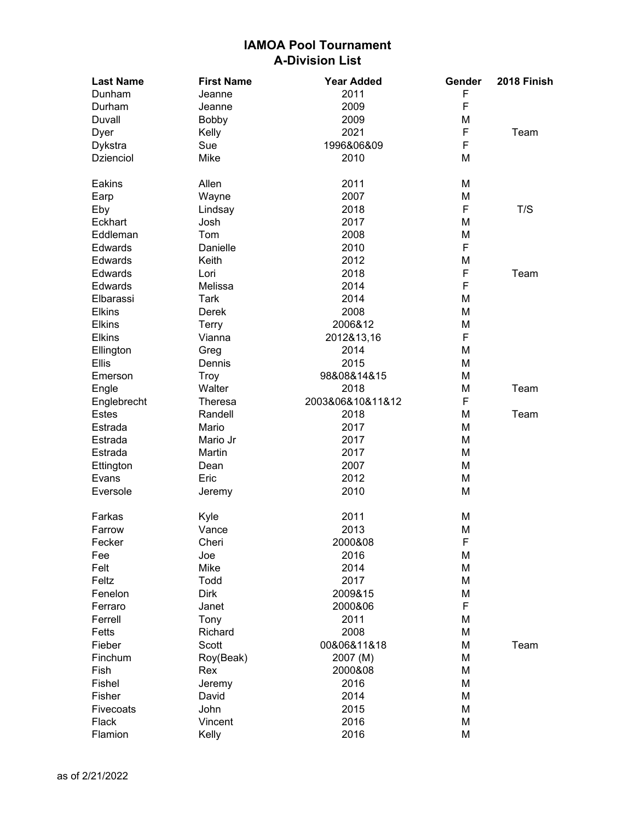| <b>Last Name</b> | <b>First Name</b> | <b>Year Added</b> | Gender | 2018 Finish |
|------------------|-------------------|-------------------|--------|-------------|
| Dunham           | Jeanne            | 2011              | F      |             |
| Durham           | Jeanne            | 2009              | F      |             |
| Duvall           | <b>Bobby</b>      | 2009              | M      |             |
| Dyer             | Kelly             | 2021              | F      | Team        |
| Dykstra          | Sue               | 1996&06&09        | F      |             |
| <b>Dzienciol</b> | Mike              | 2010              | M      |             |
| Eakins           | Allen             | 2011              | M      |             |
| Earp             | Wayne             | 2007              | M      |             |
| Eby              | Lindsay           | 2018              | F      | T/S         |
| Eckhart          | Josh              | 2017              | Μ      |             |
| Eddleman         | Tom               | 2008              | Μ      |             |
| Edwards          | Danielle          | 2010              | F      |             |
| Edwards          | Keith             | 2012              | M      |             |
| Edwards          | Lori              | 2018              | F      | Team        |
| Edwards          | Melissa           | 2014              | F      |             |
| Elbarassi        | Tark              | 2014              | M      |             |
| Elkins           | Derek             | 2008              | M      |             |
| <b>Elkins</b>    | <b>Terry</b>      | 2006&12           | M      |             |
| <b>Elkins</b>    | Vianna            | 2012&13,16        | F      |             |
| Ellington        | Greg              | 2014              | M      |             |
| <b>Ellis</b>     | Dennis            | 2015              | M      |             |
| Emerson          | <b>Troy</b>       | 98&08&14&15       | M      |             |
| Engle            | Walter            | 2018              | Μ      | Team        |
| Englebrecht      | Theresa           | 2003&06&10&11&12  | F      |             |
| Estes            | Randell           | 2018              | Μ      | Team        |
| Estrada          | Mario             | 2017              | M      |             |
| Estrada          | Mario Jr          | 2017              | M      |             |
| Estrada          | Martin            | 2017              | M      |             |
| Ettington        | Dean              | 2007              | M      |             |
| Evans            | Eric              | 2012              | M      |             |
| Eversole         | Jeremy            | 2010              | M      |             |
| Farkas           | Kyle              | 2011              | M      |             |
| Farrow           | Vance             | 2013              | M      |             |
| Fecker           | Cheri             | 2000&08           | F      |             |
| Fee              | Joe               | 2016              | M      |             |
| Felt             | Mike              | 2014              | M      |             |
| Feltz            | Todd              | 2017              | M      |             |
| Fenelon          | <b>Dirk</b>       | 2009&15           | M      |             |
| Ferraro          | Janet             | 2000&06           | F      |             |
| Ferrell          | Tony              | 2011              | M      |             |
| Fetts            | Richard           | 2008              | M      |             |
| Fieber           | Scott             | 00&06&11&18       | M      | Team        |
| Finchum          | Roy(Beak)         | 2007 (M)          | M      |             |
| Fish             | Rex               | 2000&08           | M      |             |
| Fishel           | Jeremy            | 2016              | M      |             |
| Fisher           | David             | 2014              | M      |             |
| Fivecoats        | John              | 2015              | M      |             |
| Flack            | Vincent           | 2016              | M      |             |
| Flamion          | Kelly             | 2016              | M      |             |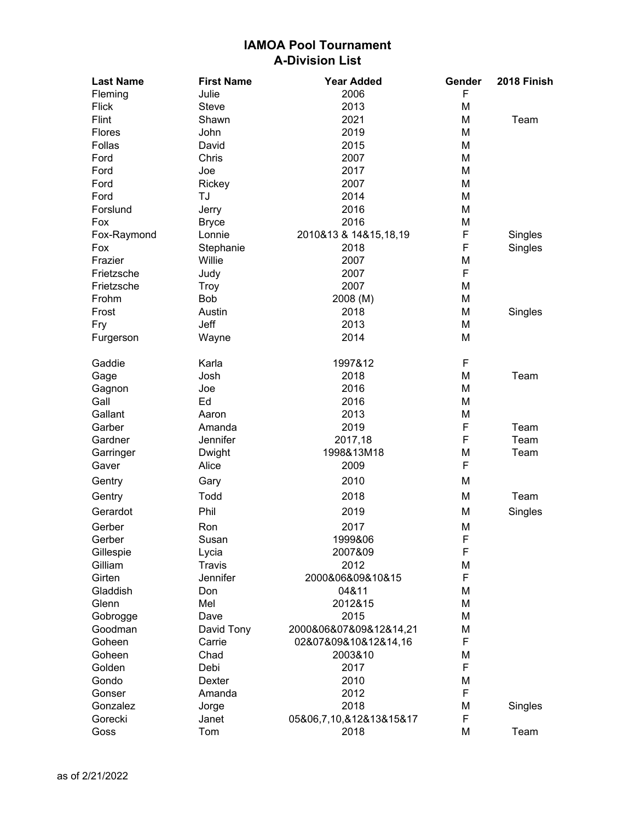| <b>Last Name</b> | <b>First Name</b> | <b>Year Added</b>       | Gender | 2018 Finish |
|------------------|-------------------|-------------------------|--------|-------------|
| Fleming          | Julie             | 2006                    | F      |             |
| <b>Flick</b>     | Steve             | 2013                    | M      |             |
| Flint            | Shawn             | 2021                    | M      | Team        |
| Flores           | John              | 2019                    | M      |             |
| Follas           | David             | 2015                    | M      |             |
| Ford             | Chris             | 2007                    | M      |             |
| Ford             | Joe               | 2017                    | M      |             |
| Ford             | Rickey            | 2007                    | M      |             |
| Ford             | TJ                | 2014                    | M      |             |
| Forslund         | Jerry             | 2016                    | M      |             |
| Fox              | <b>Bryce</b>      | 2016                    | M      |             |
| Fox-Raymond      | Lonnie            | 2010&13 & 14&15,18,19   | F      | Singles     |
| Fox              | Stephanie         | 2018                    | F      | Singles     |
| Frazier          | Willie            | 2007                    | M      |             |
| Frietzsche       | Judy              | 2007                    | F      |             |
| Frietzsche       | Troy              | 2007                    | M      |             |
| Frohm            | <b>Bob</b>        | 2008 (M)                | M      |             |
| Frost            | Austin            | 2018                    | M      | Singles     |
| Fry              | Jeff              | 2013                    | M      |             |
| Furgerson        | Wayne             | 2014                    | M      |             |
|                  |                   |                         |        |             |
| Gaddie           | Karla             | 1997&12                 | F      |             |
| Gage             | Josh              | 2018                    | M      | Team        |
| Gagnon           | Joe               | 2016                    | M      |             |
| Gall             | Ed                | 2016                    | M      |             |
| Gallant          | Aaron             | 2013                    | M      |             |
| Garber           | Amanda            | 2019                    | F      | Team        |
| Gardner          | Jennifer          | 2017,18                 | F      | Team        |
| Garringer        | Dwight            | 1998&13M18              | M      | Team        |
| Gaver            | Alice             | 2009                    | F      |             |
| Gentry           | Gary              | 2010                    | M      |             |
| Gentry           | Todd              | 2018                    | M      | Team        |
| Gerardot         | Phil              | 2019                    | M      | Singles     |
| Gerber           | Ron               | 2017                    | M      |             |
| Gerber           | Susan             | 1999&06                 | F      |             |
| Gillespie        | Lycia             | 2007&09                 | F      |             |
| Gilliam          | <b>Travis</b>     | 2012                    | M      |             |
| Girten           | Jennifer          | 2000&06&09&10&15        | F      |             |
| Gladdish         | Don               | 04&11                   | M      |             |
| Glenn            | Mel               | 2012&15                 | M      |             |
| Gobrogge         | Dave              | 2015                    | M      |             |
| Goodman          | David Tony        | 2000&06&07&09&12&14,21  | M      |             |
| Goheen           | Carrie            | 02&07&09&10&12&14,16    | F      |             |
| Goheen           | Chad              | 2003&10                 | M      |             |
| Golden           | Debi              | 2017                    | F      |             |
| Gondo            | Dexter            | 2010                    | M      |             |
| Gonser           | Amanda            | 2012                    | F      |             |
| Gonzalez         | Jorge             | 2018                    | M      | Singles     |
| Gorecki          | Janet             | 05&06,7,10,&12&13&15&17 | F      |             |
| Goss             | Tom               | 2018                    | M      | Team        |
|                  |                   |                         |        |             |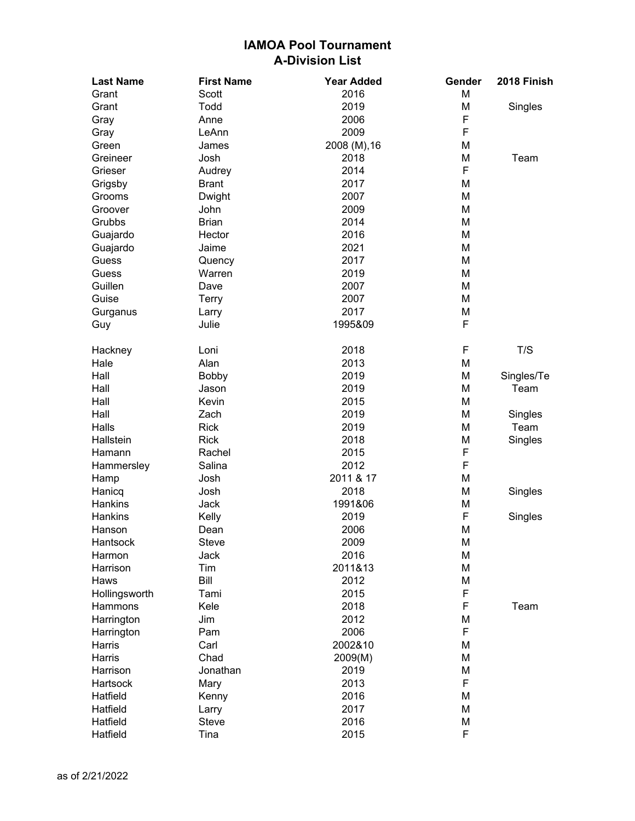| <b>Last Name</b> | <b>First Name</b> | <b>Year Added</b> | Gender | 2018 Finish |
|------------------|-------------------|-------------------|--------|-------------|
| Grant            | Scott             | 2016              | M      |             |
| Grant            | Todd              | 2019              | M      | Singles     |
| Gray             | Anne              | 2006              | F      |             |
| Gray             | LeAnn             | 2009              | F      |             |
| Green            | James             | 2008 (M), 16      | M      |             |
| Greineer         | Josh              | 2018              | M      | Team        |
| Grieser          | Audrey            | 2014              | F      |             |
| Grigsby          | <b>Brant</b>      | 2017              | M      |             |
| Grooms           | Dwight            | 2007              | M      |             |
| Groover          | John              | 2009              | M      |             |
| Grubbs           | <b>Brian</b>      | 2014              | M      |             |
| Guajardo         | Hector            | 2016              | M      |             |
| Guajardo         | Jaime             | 2021              | M      |             |
| Guess            | Quency            | 2017              | M      |             |
| Guess            | Warren            | 2019              | M      |             |
| Guillen          | Dave              | 2007              | M      |             |
| Guise            | <b>Terry</b>      | 2007              | M      |             |
| Gurganus         | Larry             | 2017              | M      |             |
| Guy              | Julie             | 1995&09           | F      |             |
| Hackney          | Loni              | 2018              | F      | T/S         |
| Hale             | Alan              | 2013              | M      |             |
| Hall             | <b>Bobby</b>      | 2019              | M      | Singles/Te  |
| Hall             | Jason             | 2019              | M      | Team        |
| Hall             | Kevin             | 2015              | M      |             |
| Hall             | Zach              | 2019              | M      | Singles     |
| Halls            | <b>Rick</b>       | 2019              | M      | Team        |
| Hallstein        | <b>Rick</b>       | 2018              | M      | Singles     |
| Hamann           | Rachel            | 2015              | F      |             |
| Hammersley       | Salina            | 2012              | F      |             |
| Hamp             | Josh              | 2011 & 17         | M      |             |
| Hanicq           | Josh              | 2018              | M      | Singles     |
| Hankins          | Jack              | 1991&06           | M      |             |
| Hankins          | Kelly             | 2019              | F      | Singles     |
| Hanson           | Dean              | 2006              | M      |             |
| Hantsock         | Steve             | 2009              | M      |             |
| Harmon           | Jack              | 2016              | M      |             |
| Harrison         | Tim               | 2011&13           | M      |             |
| Haws             | Bill              | 2012              | M      |             |
| Hollingsworth    | Tami              | 2015              | F      |             |
| Hammons          | Kele              | 2018              | F      | Team        |
| Harrington       | Jim               | 2012              | M      |             |
| Harrington       | Pam               | 2006              | F      |             |
| Harris           | Carl              | 2002&10           | M      |             |
| <b>Harris</b>    | Chad              | 2009(M)           | M      |             |
| Harrison         | Jonathan          | 2019              | M      |             |
| Hartsock         | Mary              | 2013              | F      |             |
| Hatfield         | Kenny             | 2016              | M      |             |
| Hatfield         | Larry             | 2017              | M      |             |
| Hatfield         | <b>Steve</b>      | 2016              | M      |             |
| Hatfield         | Tina              | 2015              | F      |             |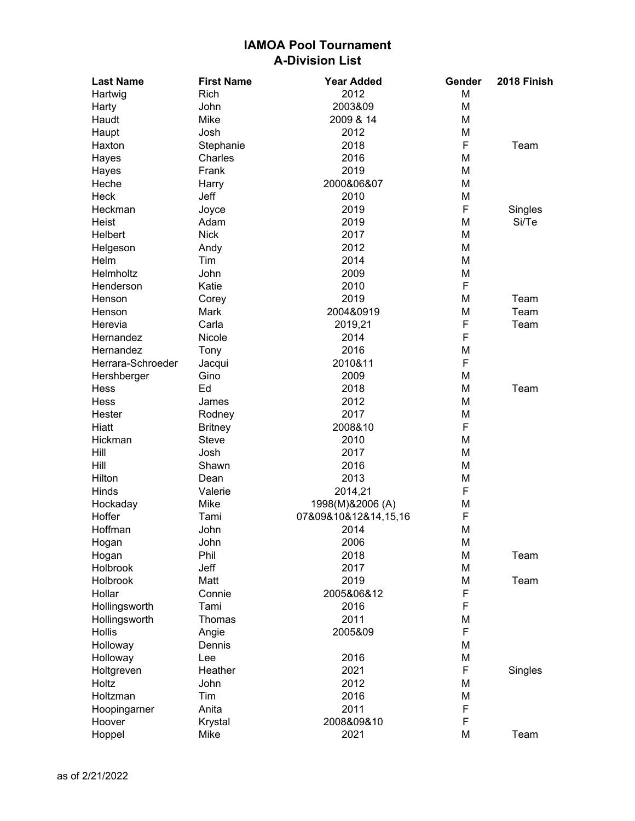| <b>Last Name</b>  | <b>First Name</b> | <b>Year Added</b>    | Gender | 2018 Finish |
|-------------------|-------------------|----------------------|--------|-------------|
| Hartwig           | Rich              | 2012                 | M      |             |
| Harty             | John              | 2003&09              | M      |             |
| Haudt             | Mike              | 2009 & 14            | M      |             |
| Haupt             | Josh              | 2012                 | Μ      |             |
| Haxton            | Stephanie         | 2018                 | F      | Team        |
| Hayes             | Charles           | 2016                 | Μ      |             |
| Hayes             | Frank             | 2019                 | M      |             |
| Heche             | Harry             | 2000&06&07           | Μ      |             |
| Heck              | Jeff              | 2010                 | Μ      |             |
| Heckman           | Joyce             | 2019                 | F      | Singles     |
| Heist             | Adam              | 2019                 | М      | Si/Te       |
| <b>Helbert</b>    | <b>Nick</b>       | 2017                 | М      |             |
| Helgeson          | Andy              | 2012                 | М      |             |
| Helm              | Tim               | 2014                 | M      |             |
| Helmholtz         | John              | 2009                 | Μ      |             |
| Henderson         | Katie             | 2010                 | F      |             |
| Henson            | Corey             | 2019                 | М      | Team        |
| Henson            | Mark              | 2004&0919            | М      | Team        |
| Herevia           | Carla             | 2019,21              | F      | Team        |
| Hernandez         | Nicole            | 2014                 | F      |             |
| Hernandez         | Tony              | 2016                 | Μ      |             |
| Herrara-Schroeder | Jacqui            | 2010&11              | F      |             |
| Hershberger       | Gino              | 2009                 | M      |             |
| Hess              | Ed                | 2018                 | М      | Team        |
| Hess              | James             | 2012                 | М      |             |
| Hester            | Rodney            | 2017                 | Μ      |             |
| Hiatt             | <b>Britney</b>    | 2008&10              | F      |             |
| Hickman           | <b>Steve</b>      | 2010                 | M      |             |
| Hill              | Josh              | 2017                 | Μ      |             |
| Hill              | Shawn             | 2016                 | М      |             |
| Hilton            | Dean              | 2013                 | Μ      |             |
| Hinds             | Valerie           | 2014,21              | F      |             |
| Hockaday          | Mike              | 1998(M)&2006 (A)     | Μ      |             |
| Hoffer            | Tami              | 07&09&10&12&14,15,16 | F      |             |
| Hoffman           | John              | 2014                 | M      |             |
| Hogan             | John              | 2006                 | М      |             |
| Hogan             | Phil              | 2018                 | Μ      | Team        |
| Holbrook          | Jeff              | 2017                 | М      |             |
| Holbrook          | Matt              | 2019                 | Μ      | Team        |
| Hollar            | Connie            | 2005&06&12           | F      |             |
| Hollingsworth     | Tami              | 2016                 | F      |             |
| Hollingsworth     | Thomas            | 2011                 | Μ      |             |
| <b>Hollis</b>     | Angie             | 2005&09              | F      |             |
| Holloway          | Dennis            |                      | Μ      |             |
| Holloway          | Lee               | 2016                 | М      |             |
| Holtgreven        | Heather           | 2021                 | F      | Singles     |
| Holtz             | John              | 2012                 | Μ      |             |
| Holtzman          | Tim               | 2016                 | Μ      |             |
| Hoopingarner      | Anita             | 2011                 | F      |             |
| Hoover            | Krystal           | 2008&09&10           | F      |             |
| Hoppel            | Mike              | 2021                 | Μ      | Team        |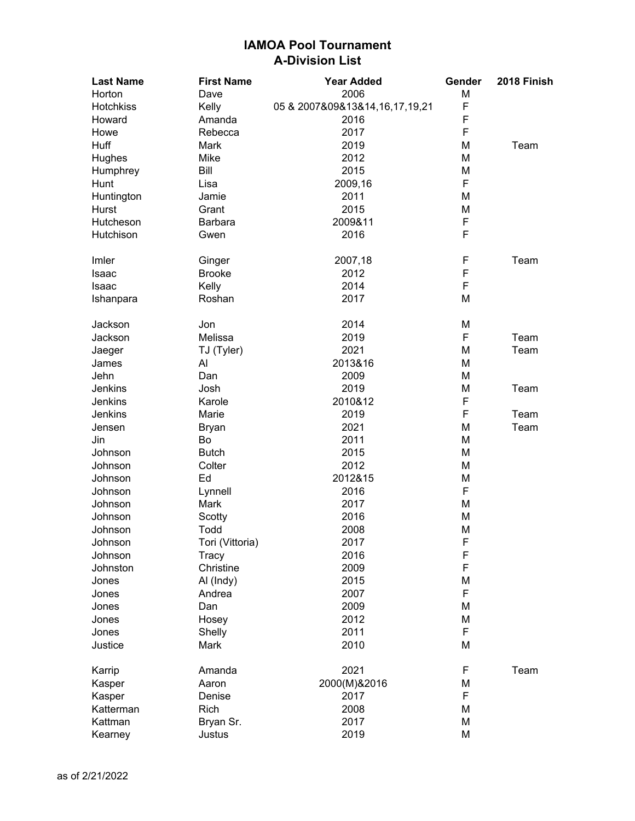| <b>Last Name</b> | <b>First Name</b> | <b>Year Added</b>              | Gender | 2018 Finish |
|------------------|-------------------|--------------------------------|--------|-------------|
| Horton           | Dave              | 2006                           | M      |             |
| Hotchkiss        | Kelly             | 05 & 2007&09&13&14,16,17,19,21 | F      |             |
| Howard           | Amanda            | 2016                           | F      |             |
| Howe             | Rebecca           | 2017                           | F      |             |
| Huff             | <b>Mark</b>       | 2019                           | M      | Team        |
| Hughes           | Mike              | 2012                           | M      |             |
| Humphrey         | Bill              | 2015                           | M      |             |
| Hunt             | Lisa              | 2009,16                        | F      |             |
| Huntington       | Jamie             | 2011                           | M      |             |
| Hurst            | Grant             | 2015                           | M      |             |
| Hutcheson        | Barbara           | 2009&11                        | F      |             |
| Hutchison        | Gwen              | 2016                           | F      |             |
| Imler            | Ginger            | 2007,18                        | F      | Team        |
| Isaac            | <b>Brooke</b>     | 2012                           | F      |             |
| Isaac            | Kelly             | 2014                           | F      |             |
| Ishanpara        | Roshan            | 2017                           | M      |             |
| Jackson          | Jon               | 2014                           | M      |             |
| Jackson          | Melissa           | 2019                           | F      | Team        |
| Jaeger           | TJ (Tyler)        | 2021                           | M      | Team        |
| James            | Al                | 2013&16                        | M      |             |
| Jehn             | Dan               | 2009                           | M      |             |
| Jenkins          | Josh              | 2019                           | M      | Team        |
| Jenkins          | Karole            | 2010&12                        | F      |             |
| Jenkins          | Marie             | 2019                           | F      | Team        |
| Jensen           | <b>Bryan</b>      | 2021                           | M      | Team        |
| Jin              | Bo                | 2011                           | M      |             |
| Johnson          | <b>Butch</b>      | 2015                           | M      |             |
| Johnson          | Colter            | 2012                           | M      |             |
| Johnson          | Ed                | 2012&15                        | M      |             |
| Johnson          | Lynnell           | 2016                           | F      |             |
| Johnson          | Mark              | 2017                           | M      |             |
| Johnson          | Scotty            | 2016                           | M      |             |
| Johnson          | Todd              | 2008                           | M      |             |
| Johnson          | Tori (Vittoria)   | 2017                           | F      |             |
| Johnson          | Tracy             | 2016                           | F      |             |
| Johnston         | Christine         | 2009                           | F      |             |
| Jones            | Al (Indy)         | 2015                           | Μ      |             |
| Jones            | Andrea            | 2007                           | F      |             |
| Jones            | Dan               | 2009                           | Μ      |             |
| Jones            | Hosey             | 2012                           | M      |             |
| Jones            | Shelly            | 2011                           | F      |             |
| Justice          | Mark              | 2010                           | M      |             |
| Karrip           | Amanda            | 2021                           | F      | Team        |
| Kasper           | Aaron             | 2000(M)&2016                   | М      |             |
| Kasper           | Denise            | 2017                           | F      |             |
| Katterman        | Rich              | 2008                           | M      |             |
| Kattman          | Bryan Sr.         | 2017                           | M      |             |
| Kearney          | Justus            | 2019                           | M      |             |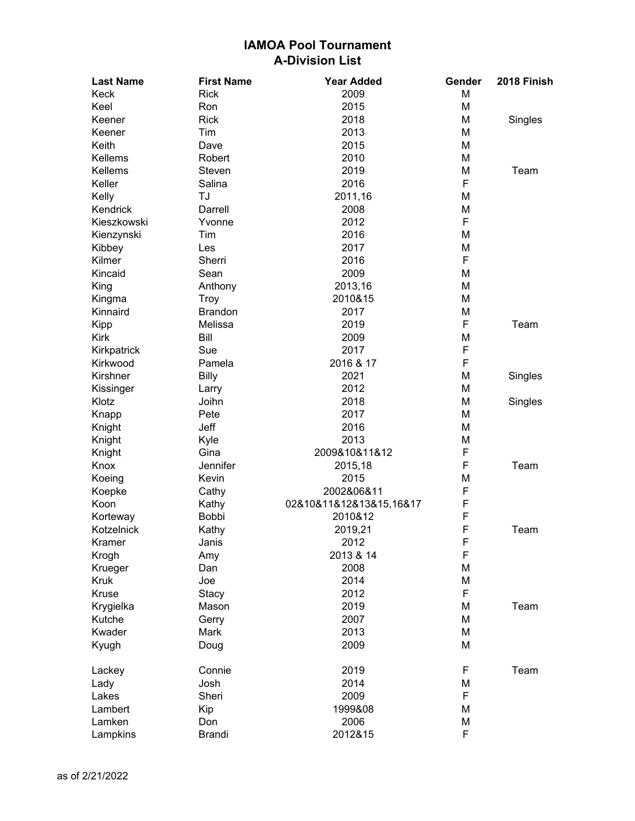| <b>Last Name</b> | <b>First Name</b> | <b>Year Added</b>       | Gender | 2018 Finish |
|------------------|-------------------|-------------------------|--------|-------------|
| Keck             | <b>Rick</b>       | 2009                    | M      |             |
| Keel             | Ron               | 2015                    | M      |             |
| Keener           | <b>Rick</b>       | 2018                    | Μ      | Singles     |
| Keener           | Tim               | 2013                    | Μ      |             |
| Keith            | Dave              | 2015                    | M      |             |
| Kellems          | Robert            | 2010                    | M      |             |
| Kellems          | Steven            | 2019                    | M      | Team        |
| Keller           | Salina            | 2016                    | F      |             |
| Kelly            | TJ                | 2011,16                 | Μ      |             |
| Kendrick         | Darrell           | 2008                    | M      |             |
| Kieszkowski      | Yvonne            | 2012                    | F      |             |
| Kienzynski       | Tim               | 2016                    | M      |             |
| Kibbey           | Les               | 2017                    | M      |             |
| Kilmer           | Sherri            | 2016                    | F      |             |
| Kincaid          | Sean              | 2009                    | M      |             |
| King             | Anthony           | 2013,16                 | M      |             |
| Kingma           | <b>Troy</b>       | 2010&15                 | M      |             |
| Kinnaird         | <b>Brandon</b>    | 2017                    | M      |             |
| Kipp             | Melissa           | 2019                    | F      | Team        |
| Kirk             | Bill              | 2009                    | M      |             |
| Kirkpatrick      | Sue               | 2017                    | F      |             |
| Kirkwood         | Pamela            | 2016 & 17               | F      |             |
| Kirshner         | <b>Billy</b>      | 2021                    | M      | Singles     |
| Kissinger        | Larry             | 2012                    | M      |             |
| Klotz            | Joihn             | 2018                    | Μ      | Singles     |
| Knapp            | Pete              | 2017                    | Μ      |             |
| Knight           | Jeff              | 2016                    | M      |             |
| Knight           | Kyle              | 2013                    | M      |             |
| Knight           | Gina              | 2009&10&11&12           | F      |             |
| Knox             | Jennifer          | 2015,18                 | F      | Team        |
| Koeing           | Kevin             | 2015                    | M      |             |
| Koepke           | Cathy             | 2002&06&11              | F      |             |
| Koon             | Kathy             | 02&10&11&12&13&15,16&17 | F      |             |
| Korteway         | Bobbi             | 2010&12                 | F      |             |
| Kotzelnick       | Kathy             | 2019,21                 | F      | Team        |
| Kramer           | Janis             | 2012                    | F      |             |
| Krogh            | Amy               | 2013 & 14               | F      |             |
| Krueger          | Dan               | 2008                    | M      |             |
| <b>Kruk</b>      | Joe               | 2014                    | M      |             |
| <b>Kruse</b>     | Stacy             | 2012                    | F      |             |
| Krygielka        | Mason             | 2019                    | Μ      | Team        |
| Kutche           | Gerry             | 2007                    | M      |             |
| Kwader           | Mark              | 2013                    | M      |             |
|                  |                   | 2009                    | M      |             |
| Kyugh            | Doug              |                         |        |             |
| Lackey           | Connie            | 2019                    | F      | Team        |
| Lady             | Josh              | 2014                    | Μ      |             |
| Lakes            | Sheri             | 2009                    | F      |             |
| Lambert          | Kip               | 1999&08                 | Μ      |             |
| Lamken           | Don               | 2006                    | Μ      |             |
| Lampkins         | <b>Brandi</b>     | 2012&15                 | F      |             |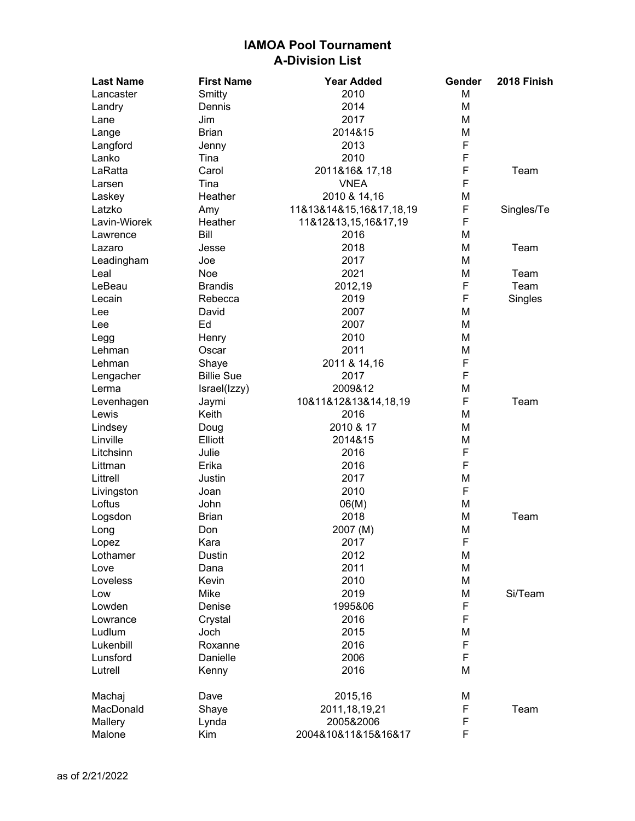| <b>Last Name</b> | <b>First Name</b> | <b>Year Added</b>       | Gender | 2018 Finish |
|------------------|-------------------|-------------------------|--------|-------------|
| Lancaster        | Smitty            | 2010                    | M      |             |
| Landry           | Dennis            | 2014                    | M      |             |
| Lane             | Jim               | 2017                    | M      |             |
| Lange            | <b>Brian</b>      | 2014&15                 | Μ      |             |
| Langford         | Jenny             | 2013                    | F      |             |
| Lanko            | Tina              | 2010                    | F      |             |
| LaRatta          | Carol             | 2011&16& 17,18          | F      | Team        |
| Larsen           | Tina              | <b>VNEA</b>             | F      |             |
| Laskey           | Heather           | 2010 & 14,16            | Μ      |             |
| Latzko           | Amy               | 11&13&14&15,16&17,18,19 | F      | Singles/Te  |
| Lavin-Wiorek     | Heather           | 11&12&13,15,16&17,19    | F      |             |
| Lawrence         | Bill              | 2016                    | Μ      |             |
| Lazaro           | Jesse             | 2018                    | M      | Team        |
| Leadingham       | Joe               | 2017                    | Μ      |             |
| Leal             | Noe               | 2021                    | Μ      | Team        |
| LeBeau           | <b>Brandis</b>    | 2012,19                 | F      | Team        |
| Lecain           | Rebecca           | 2019                    | F      | Singles     |
| Lee              | David             | 2007                    | M      |             |
| Lee              | Ed                | 2007                    | Μ      |             |
| Legg             | Henry             | 2010                    | M      |             |
| Lehman           | Oscar             | 2011                    | Μ      |             |
| Lehman           | Shaye             | 2011 & 14,16            | F      |             |
| Lengacher        | <b>Billie Sue</b> | 2017                    | F      |             |
| Lerma            | Israel(Izzy)      | 2009&12                 | M      |             |
| Levenhagen       | Jaymi             | 10&11&12&13&14,18,19    | F      | Team        |
| Lewis            | Keith             | 2016                    | Μ      |             |
| Lindsey          | Doug              | 2010 & 17               | Μ      |             |
| Linville         | Elliott           | 2014&15                 | M      |             |
| Litchsinn        | Julie             | 2016                    | F      |             |
| Littman          | Erika             | 2016                    | F      |             |
| Littrell         | Justin            | 2017                    | M      |             |
| Livingston       | Joan              | 2010                    | F      |             |
| Loftus           | John              | 06(M)                   | M      |             |
| Logsdon          | <b>Brian</b>      | 2018                    | Μ      | Team        |
| Long             | Don               | 2007 (M)                | Μ      |             |
| Lopez            | Kara              | 2017                    | F      |             |
| Lothamer         | <b>Dustin</b>     | 2012                    | M      |             |
| Love             | Dana              | 2011                    | M      |             |
| Loveless         | <b>Kevin</b>      | 2010                    | M      |             |
| Low              | Mike              | 2019                    | M      | Si/Team     |
| Lowden           | Denise            | 1995&06                 | F      |             |
| Lowrance         | Crystal           | 2016                    | F      |             |
| Ludlum           | Joch              | 2015                    | М      |             |
| Lukenbill        | Roxanne           | 2016                    | F      |             |
| Lunsford         | Danielle          | 2006                    | F      |             |
| Lutrell          | Kenny             | 2016                    | M      |             |
| Machaj           | Dave              | 2015,16                 | M      |             |
| MacDonald        | Shaye             | 2011, 18, 19, 21        | F      | Team        |
| Mallery          | Lynda             | 2005&2006               | F      |             |
| Malone           | Kim               | 2004&10&11&15&16&17     | F      |             |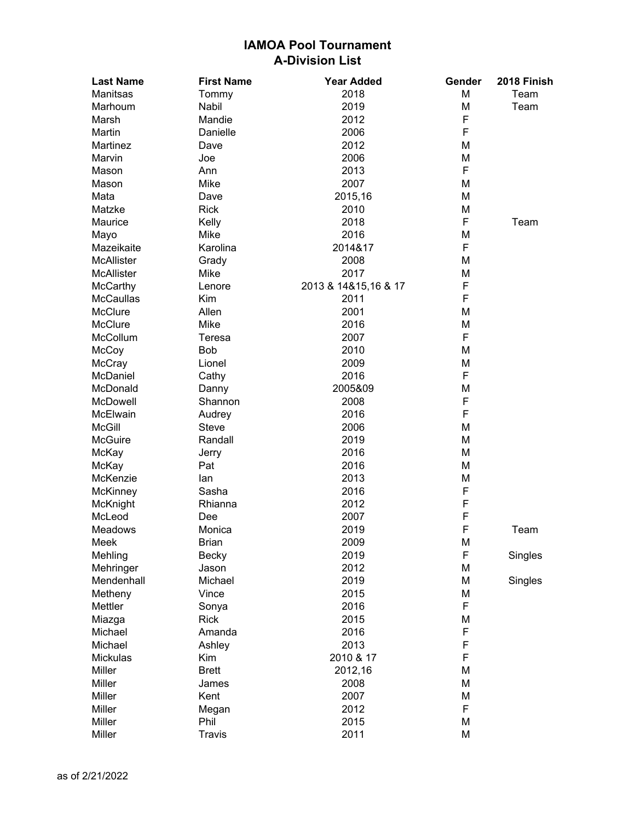| <b>Last Name</b>  | <b>First Name</b> | <b>Year Added</b>    | Gender | 2018 Finish |
|-------------------|-------------------|----------------------|--------|-------------|
| Manitsas          | Tommy             | 2018                 | M      | Team        |
| Marhoum           | <b>Nabil</b>      | 2019                 | M      | Team        |
| Marsh             | Mandie            | 2012                 | F      |             |
| Martin            | Danielle          | 2006                 | F      |             |
| Martinez          | Dave              | 2012                 | M      |             |
| Marvin            | Joe               | 2006                 | M      |             |
| Mason             | Ann               | 2013                 | F      |             |
| Mason             | Mike              | 2007                 | M      |             |
| Mata              | Dave              | 2015,16              | M      |             |
| Matzke            | <b>Rick</b>       | 2010                 | M      |             |
| Maurice           | Kelly             | 2018                 | F      | Team        |
| Mayo              | Mike              | 2016                 | М      |             |
| Mazeikaite        | Karolina          | 2014&17              | F      |             |
| <b>McAllister</b> | Grady             | 2008                 | M      |             |
| <b>McAllister</b> | Mike              | 2017                 | М      |             |
| McCarthy          | Lenore            | 2013 & 14&15,16 & 17 | F      |             |
| McCaullas         | Kim               | 2011                 | F      |             |
| McClure           | Allen             | 2001                 | M      |             |
| <b>McClure</b>    | Mike              | 2016                 | M      |             |
| McCollum          | Teresa            | 2007                 | F      |             |
| McCoy             | <b>Bob</b>        | 2010                 | M      |             |
| McCray            | Lionel            | 2009                 | М      |             |
| McDaniel          | Cathy             | 2016                 | F      |             |
| McDonald          | Danny             | 2005&09              | Μ      |             |
| McDowell          | Shannon           | 2008                 | F      |             |
| McElwain          | Audrey            | 2016                 | F      |             |
| <b>McGill</b>     | <b>Steve</b>      | 2006                 | M      |             |
| McGuire           | Randall           | 2019                 | M      |             |
| McKay             | Jerry             | 2016                 | M      |             |
| McKay             | Pat               | 2016                 | M      |             |
| McKenzie          | lan               | 2013                 | M      |             |
| McKinney          | Sasha             | 2016                 | F      |             |
| McKnight          | Rhianna           | 2012                 | F      |             |
| McLeod            | Dee               | 2007                 | F      |             |
| Meadows           | Monica            | 2019                 | F      | Team        |
| Meek              | <b>Brian</b>      | 2009                 | M      |             |
| Mehling           | <b>Becky</b>      | 2019                 | F      | Singles     |
| Mehringer         | Jason             | 2012                 | M      |             |
| Mendenhall        | Michael           | 2019                 | Μ      | Singles     |
| Metheny           | Vince             | 2015                 | Μ      |             |
| Mettler           | Sonya             | 2016                 | F      |             |
| Miazga            | <b>Rick</b>       | 2015                 | Μ      |             |
| Michael           | Amanda            | 2016                 | F      |             |
| Michael           | Ashley            | 2013                 | F      |             |
| Mickulas          | Kim               | 2010 & 17            | F      |             |
| Miller            | <b>Brett</b>      | 2012,16              | М      |             |
| Miller            | James             | 2008                 | M      |             |
| Miller            | Kent              | 2007                 | M      |             |
| Miller            | Megan             | 2012                 | F      |             |
| Miller            | Phil              | 2015                 | M      |             |
| Miller            | <b>Travis</b>     | 2011                 | M      |             |
|                   |                   |                      |        |             |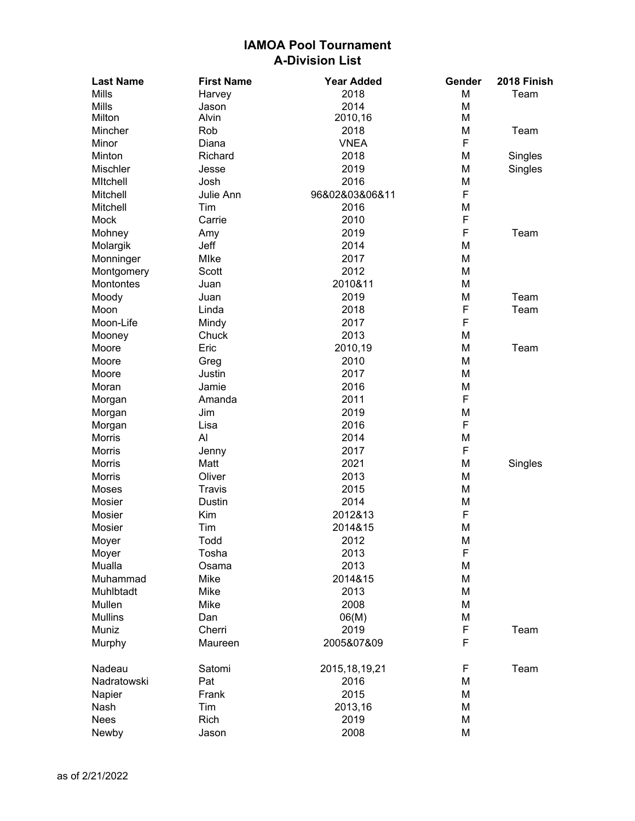| <b>Last Name</b> | <b>First Name</b> | <b>Year Added</b> | Gender | 2018 Finish |
|------------------|-------------------|-------------------|--------|-------------|
| <b>Mills</b>     | Harvey            | 2018              | M      | Team        |
| <b>Mills</b>     | Jason             | 2014              | М      |             |
| Milton           | Alvin             | 2010,16           | М      |             |
| Mincher          | Rob               | 2018              | M      | Team        |
| Minor            | Diana             | <b>VNEA</b>       | F      |             |
| Minton           | Richard           | 2018              | М      | Singles     |
| Mischler         | Jesse             | 2019              | М      | Singles     |
| <b>MItchell</b>  | Josh              | 2016              | М      |             |
| Mitchell         | Julie Ann         | 96&02&03&06&11    | F      |             |
| Mitchell         | Tim               | 2016              | М      |             |
| Mock             | Carrie            | 2010              | F      |             |
| Mohney           | Amy               | 2019              | F      | Team        |
| Molargik         | Jeff              | 2014              | Μ      |             |
| Monninger        | Mlke              | 2017              | M      |             |
| Montgomery       | Scott             | 2012              | M      |             |
| Montontes        | Juan              | 2010&11           | M      |             |
| Moody            | Juan              | 2019              | M      | Team        |
| Moon             | Linda             | 2018              | F      | Team        |
| Moon-Life        | Mindy             | 2017              | F      |             |
| Mooney           | Chuck             | 2013              | M      |             |
| Moore            | Eric              | 2010,19           | M      | Team        |
| Moore            | Greg              | 2010              | M      |             |
| Moore            | Justin            | 2017              | M      |             |
| Moran            | Jamie             | 2016              | Μ      |             |
| Morgan           | Amanda            | 2011              | F      |             |
| Morgan           | Jim               | 2019              | M      |             |
| Morgan           | Lisa              | 2016              | F      |             |
| Morris           | Al                | 2014              | M      |             |
| <b>Morris</b>    | Jenny             | 2017              | F      |             |
| <b>Morris</b>    | Matt              | 2021              | Μ      | Singles     |
| <b>Morris</b>    | Oliver            | 2013              | M      |             |
| Moses            | <b>Travis</b>     | 2015              | M      |             |
| Mosier           | Dustin            | 2014              | M      |             |
| Mosier           | Kim               | 2012&13           | F      |             |
| Mosier           | Tim               | 2014&15           | M      |             |
| Moyer            | Todd              | 2012              | M      |             |
| Moyer            | Tosha             | 2013              | F      |             |
| Mualla           | Osama             | 2013              | M      |             |
| Muhammad         | Mike              | 2014&15           | Μ      |             |
| Muhlbtadt        | Mike              | 2013              | Μ      |             |
| Mullen           | Mike              | 2008              | Μ      |             |
| <b>Mullins</b>   | Dan               | 06(M)             | Μ      |             |
| Muniz            | Cherri            | 2019              | F      | Team        |
| Murphy           | Maureen           | 2005&07&09        | F      |             |
| Nadeau           | Satomi            | 2015, 18, 19, 21  | F      | Team        |
| Nadratowski      | Pat               | 2016              | Μ      |             |
| Napier           | Frank             | 2015              | Μ      |             |
| Nash             | Tim               | 2013,16           | Μ      |             |
| Nees             | Rich              | 2019              | Μ      |             |
| Newby            | Jason             | 2008              | M      |             |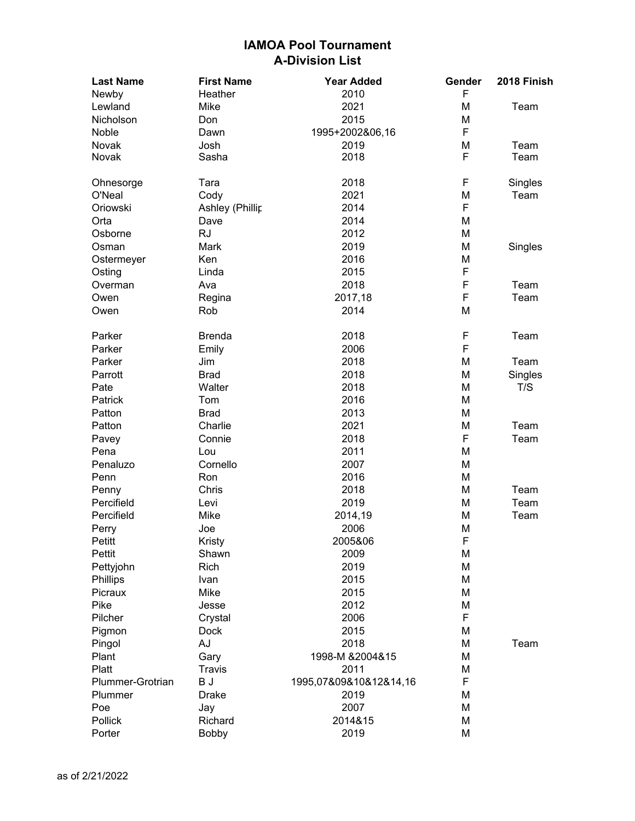| <b>Last Name</b> | <b>First Name</b> | <b>Year Added</b>      | Gender | 2018 Finish |
|------------------|-------------------|------------------------|--------|-------------|
| Newby            | Heather           | 2010                   | F      |             |
| Lewland          | Mike              | 2021                   | M      | Team        |
| Nicholson        | Don               | 2015                   | M      |             |
| Noble            | Dawn              | 1995+2002&06,16        | F      |             |
| Novak            | Josh              | 2019                   | M      | Team        |
| Novak            | Sasha             | 2018                   | F      | Team        |
| Ohnesorge        | Tara              | 2018                   | F      | Singles     |
| O'Neal           | Cody              | 2021                   | M      | Team        |
| Oriowski         | Ashley (Phillip   | 2014                   | F      |             |
| Orta             | Dave              | 2014                   | M      |             |
| Osborne          | <b>RJ</b>         | 2012                   | M      |             |
| Osman            | Mark              | 2019                   | M      | Singles     |
| Ostermeyer       | Ken               | 2016                   | M      |             |
| Osting           | Linda             | 2015                   | F      |             |
| Overman          | Ava               | 2018                   | F      | Team        |
| Owen             | Regina            | 2017,18                | F      | Team        |
| Owen             | Rob               | 2014                   | M      |             |
| Parker           | <b>Brenda</b>     | 2018                   | F      | Team        |
| Parker           | Emily             | 2006                   | F      |             |
| Parker           | Jim               | 2018                   | M      | Team        |
| Parrott          | <b>Brad</b>       | 2018                   | M      | Singles     |
| Pate             | Walter            | 2018                   | M      | T/S         |
| Patrick          | Tom               | 2016                   | M      |             |
| Patton           | <b>Brad</b>       | 2013                   | M      |             |
| Patton           | Charlie           | 2021                   | M      | Team        |
| Pavey            | Connie            | 2018                   | F      | Team        |
| Pena             | Lou               | 2011                   | M      |             |
| Penaluzo         | Cornello          | 2007                   | M      |             |
| Penn             | Ron               | 2016                   | M      |             |
| Penny            | Chris             | 2018                   | M      | Team        |
| Percifield       | Levi              | 2019                   | M      | Team        |
| Percifield       | Mike              | 2014,19                | M      | Team        |
| Perry            | Joe               | 2006                   | M      |             |
| Petitt           | Kristy            | 2005&06                | F      |             |
| Pettit           | Shawn             | 2009                   | M      |             |
| Pettyjohn        | <b>Rich</b>       | 2019                   | M      |             |
| Phillips         | Ivan              | 2015                   | M      |             |
| Picraux          | Mike              | 2015                   | M      |             |
| Pike             | Jesse             | 2012                   | M      |             |
| Pilcher          | Crystal           | 2006                   | F      |             |
| Pigmon           | <b>Dock</b>       | 2015                   | M      |             |
| Pingol           | AJ                | 2018                   | M      | Team        |
| Plant            | Gary              | 1998-M &2004&15        | M      |             |
| Platt            | <b>Travis</b>     | 2011                   | M      |             |
| Plummer-Grotrian | B J               | 1995,07&09&10&12&14,16 | F      |             |
| Plummer          | <b>Drake</b>      | 2019                   | M      |             |
| Poe              | Jay               | 2007                   | M      |             |
| Pollick          | Richard           | 2014&15                | M      |             |
| Porter           | Bobby             | 2019                   | M      |             |
|                  |                   |                        |        |             |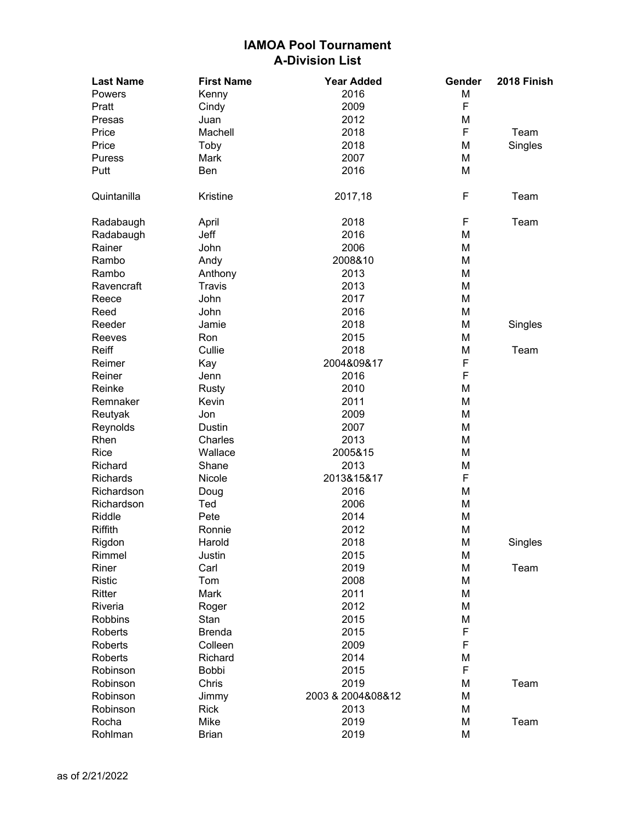| <b>Last Name</b> | <b>First Name</b> | <b>Year Added</b> | Gender | 2018 Finish |
|------------------|-------------------|-------------------|--------|-------------|
| Powers           | Kenny             | 2016              | M      |             |
| Pratt            | Cindy             | 2009              | F      |             |
| Presas           | Juan              | 2012              | Μ      |             |
| Price            | Machell           | 2018              | F      | Team        |
| Price            | Toby              | 2018              | M      | Singles     |
| <b>Puress</b>    | Mark              | 2007              | M      |             |
| Putt             | Ben               | 2016              | M      |             |
| Quintanilla      | Kristine          | 2017,18           | F      | Team        |
| Radabaugh        | April             | 2018              | F      | Team        |
| Radabaugh        | Jeff              | 2016              | M      |             |
| Rainer           | John              | 2006              | M      |             |
| Rambo            | Andy              | 2008&10           | M      |             |
| Rambo            | Anthony           | 2013              | M      |             |
| Ravencraft       | <b>Travis</b>     | 2013              | M      |             |
| Reece            | John              | 2017              | M      |             |
| Reed             | John              | 2016              | M      |             |
| Reeder           | Jamie             | 2018              | M      | Singles     |
| Reeves           | Ron               | 2015              | M      |             |
| Reiff            | Cullie            | 2018              | Μ      | Team        |
| Reimer           | Kay               | 2004&09&17        | F      |             |
| Reiner           | Jenn              | 2016              | F      |             |
| Reinke           | Rusty             | 2010              | M      |             |
| Remnaker         | Kevin             | 2011              | M      |             |
| Reutyak          | Jon               | 2009              | M      |             |
| Reynolds         | Dustin            | 2007              | M      |             |
| Rhen             | Charles           | 2013              | M      |             |
| Rice             | Wallace           | 2005&15           | M      |             |
| Richard          | Shane             | 2013              | Μ      |             |
| <b>Richards</b>  | Nicole            | 2013&15&17        | F      |             |
| Richardson       | Doug              | 2016              | M      |             |
| Richardson       | Ted               | 2006              | M      |             |
| Riddle           | Pete              | 2014              | M      |             |
| <b>Riffith</b>   | Ronnie            | 2012              | M      |             |
| Rigdon           | Harold            | 2018              | M      | Singles     |
| Rimmel           | Justin            | 2015              | M      |             |
| Riner            | Carl              | 2019              | M      | Team        |
| <b>Ristic</b>    | Tom               | 2008              | M      |             |
| Ritter           | Mark              | 2011              | M      |             |
| Riveria          | Roger             | 2012              | M      |             |
| Robbins          | Stan              | 2015              | Μ      |             |
| Roberts          | <b>Brenda</b>     | 2015              | F      |             |
| Roberts          | Colleen           | 2009              | F      |             |
| Roberts          | Richard           | 2014              | M      |             |
| Robinson         | <b>Bobbi</b>      | 2015              | F      |             |
| Robinson         | Chris             | 2019              | M      | Team        |
| Robinson         | Jimmy             | 2003 & 2004&08&12 | M      |             |
| Robinson         | Rick              | 2013              | M      |             |
| Rocha            | Mike              | 2019              | M      | Team        |
| Rohlman          | <b>Brian</b>      | 2019              | M      |             |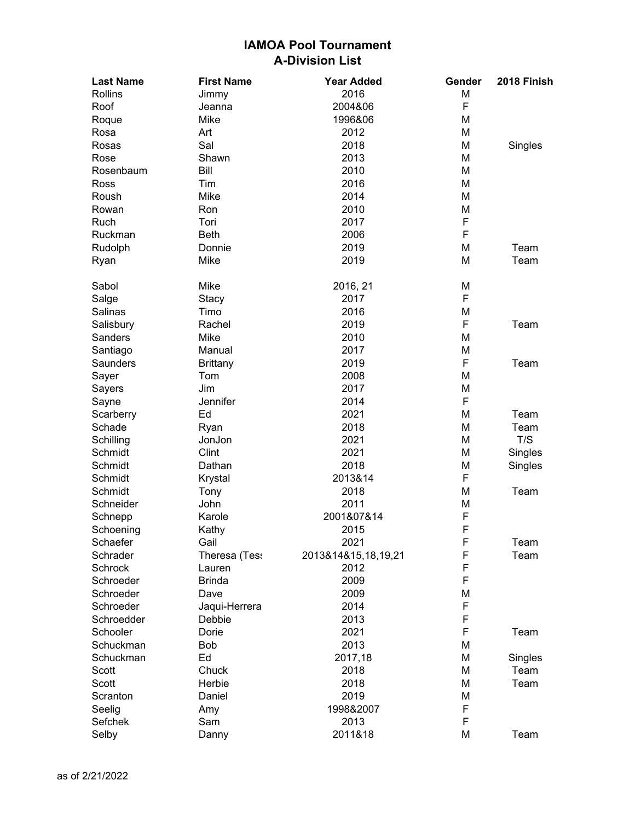| <b>Last Name</b> | <b>First Name</b> | <b>Year Added</b>   | Gender | 2018 Finish |
|------------------|-------------------|---------------------|--------|-------------|
| <b>Rollins</b>   | Jimmy             | 2016                | M      |             |
| Roof             | Jeanna            | 2004&06             | F      |             |
| Roque            | Mike              | 1996&06             | M      |             |
| Rosa             | Art               | 2012                | М      |             |
| Rosas            | Sal               | 2018                | M      | Singles     |
| Rose             | Shawn             | 2013                | M      |             |
| Rosenbaum        | <b>Bill</b>       | 2010                | M      |             |
| Ross             | Tim               | 2016                | M      |             |
| Roush            | Mike              | 2014                | M      |             |
| Rowan            | Ron               | 2010                | M      |             |
| <b>Ruch</b>      | Tori              | 2017                | F      |             |
| Ruckman          | <b>Beth</b>       | 2006                | F      |             |
| Rudolph          | Donnie            | 2019                | M      | Team        |
| Ryan             | Mike              | 2019                | M      | Team        |
| Sabol            | Mike              | 2016, 21            | M      |             |
| Salge            | Stacy             | 2017                | F      |             |
| Salinas          | Timo              | 2016                | M      |             |
| Salisbury        | Rachel            | 2019                | F      | Team        |
| Sanders          | Mike              | 2010                | M      |             |
| Santiago         | Manual            | 2017                | M      |             |
| <b>Saunders</b>  | <b>Brittany</b>   | 2019                | F      | Team        |
| Sayer            | Tom               | 2008                | M      |             |
| Sayers           | Jim               | 2017                | M      |             |
| Sayne            | Jennifer          | 2014                | F      |             |
| Scarberry        | Ed                | 2021                | M      | Team        |
| Schade           | Ryan              | 2018                | M      | Team        |
| Schilling        | JonJon            | 2021                | M      | T/S         |
| Schmidt          | Clint             | 2021                | M      | Singles     |
| Schmidt          | Dathan            | 2018                | M      | Singles     |
| Schmidt          | Krystal           | 2013&14             | F      |             |
| Schmidt          | Tony              | 2018                | M      | Team        |
| Schneider        | John              | 2011                | M      |             |
| Schnepp          | Karole            | 2001&07&14          | F      |             |
| Schoening        | Kathy             | 2015                | F      |             |
| Schaefer         | Gail              | 2021                | F      | Team        |
| Schrader         | Theresa (Tess     | 2013&14&15,18,19,21 | F      | Team        |
| Schrock          | Lauren            | 2012                | F      |             |
| Schroeder        | <b>Brinda</b>     | 2009                | F      |             |
| Schroeder        | Dave              | 2009                | M      |             |
| Schroeder        | Jaqui-Herrera     | 2014                | F      |             |
| Schroedder       | Debbie            | 2013                | F      |             |
| Schooler         | Dorie             | 2021                | F      | Team        |
| Schuckman        | <b>Bob</b>        | 2013                | M      |             |
| Schuckman        | Ed                | 2017,18             | M      | Singles     |
| Scott            | Chuck             | 2018                | M      | Team        |
| Scott            | Herbie            | 2018                | M      | Team        |
| Scranton         | Daniel            | 2019                | M      |             |
| Seelig           | Amy               | 1998&2007           | F      |             |
| Sefchek          | Sam               | 2013                | F      |             |
| Selby            | Danny             | 2011&18             | M      | Team        |
|                  |                   |                     |        |             |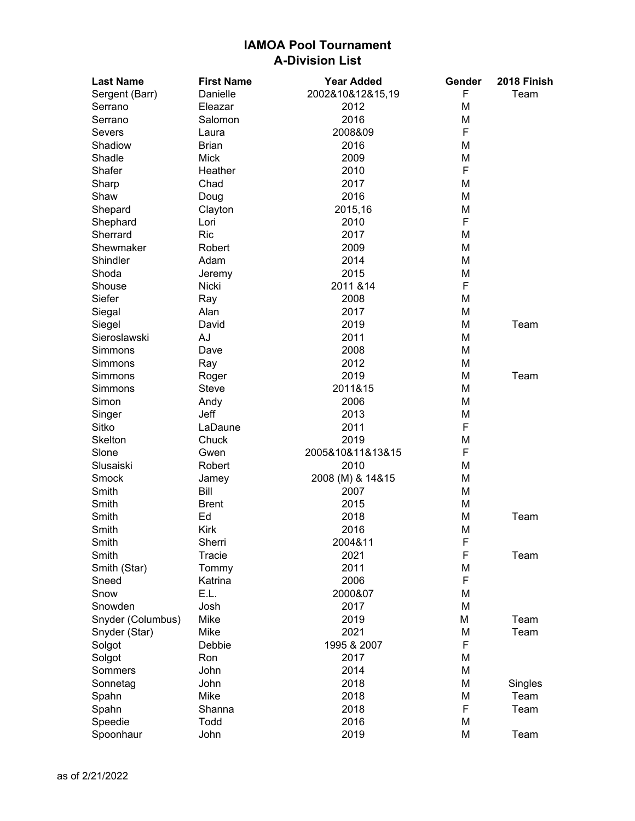| <b>Last Name</b>  | <b>First Name</b> | <b>Year Added</b> | Gender | 2018 Finish |
|-------------------|-------------------|-------------------|--------|-------------|
| Sergent (Barr)    | Danielle          | 2002&10&12&15,19  | F      | Team        |
| Serrano           | Eleazar           | 2012              | Μ      |             |
| Serrano           | Salomon           | 2016              | М      |             |
| Severs            | Laura             | 2008&09           | F      |             |
| Shadiow           | <b>Brian</b>      | 2016              | M      |             |
| Shadle            | <b>Mick</b>       | 2009              | M      |             |
| Shafer            | Heather           | 2010              | F      |             |
| Sharp             | Chad              | 2017              | M      |             |
| Shaw              | Doug              | 2016              | M      |             |
| Shepard           | Clayton           | 2015,16           | М      |             |
| Shephard          | Lori              | 2010              | F      |             |
| Sherrard          | <b>Ric</b>        | 2017              | M      |             |
| Shewmaker         | Robert            | 2009              | M      |             |
| Shindler          | Adam              | 2014              | M      |             |
| Shoda             | Jeremy            | 2015              | М      |             |
| Shouse            | Nicki             | 2011 & 14         | F      |             |
| Siefer            | Ray               | 2008              | M      |             |
| Siegal            | Alan              | 2017              | М      |             |
| Siegel            | David             | 2019              | M      | Team        |
| Sieroslawski      | AJ                | 2011              | M      |             |
| <b>Simmons</b>    | Dave              | 2008              | M      |             |
| Simmons           | Ray               | 2012              | M      |             |
| Simmons           | Roger             | 2019              | M      | Team        |
| Simmons           | Steve             | 2011&15           | М      |             |
| Simon             | Andy              | 2006              | M      |             |
| Singer            | Jeff              | 2013              | М      |             |
| Sitko             | LaDaune           | 2011              | F      |             |
| <b>Skelton</b>    | Chuck             | 2019              | М      |             |
| Slone             | Gwen              | 2005&10&11&13&15  | F      |             |
| Slusaiski         | Robert            | 2010              | M      |             |
| Smock             | Jamey             | 2008 (M) & 14&15  | M      |             |
| Smith             | Bill              | 2007              | M      |             |
| Smith             | <b>Brent</b>      | 2015              | M      |             |
| Smith             | Ed                | 2018              | Μ      | Team        |
| Smith             | <b>Kirk</b>       | 2016              | Μ      |             |
| Smith             | Sherri            | 2004&11           | F      |             |
| Smith             | Tracie            | 2021              | F      | Team        |
| Smith (Star)      | Tommy             | 2011              | Μ      |             |
| Sneed             | Katrina           | 2006              | F      |             |
| Snow              | E.L.              | 2000&07           | M      |             |
| Snowden           | Josh              | 2017              | M      |             |
| Snyder (Columbus) | Mike              | 2019              | М      | Team        |
| Snyder (Star)     | Mike              | 2021              | М      | Team        |
| Solgot            | Debbie            | 1995 & 2007       | F      |             |
| Solgot            | Ron               | 2017              | Μ      |             |
| Sommers           | John              | 2014              | M      |             |
| Sonnetag          | John              | 2018              | Μ      | Singles     |
| Spahn             | Mike              | 2018              | М      | Team        |
| Spahn             | Shanna            | 2018              | F      | Team        |
| Speedie           | Todd              | 2016              | M      |             |
| Spoonhaur         | John              | 2019              | M      | Team        |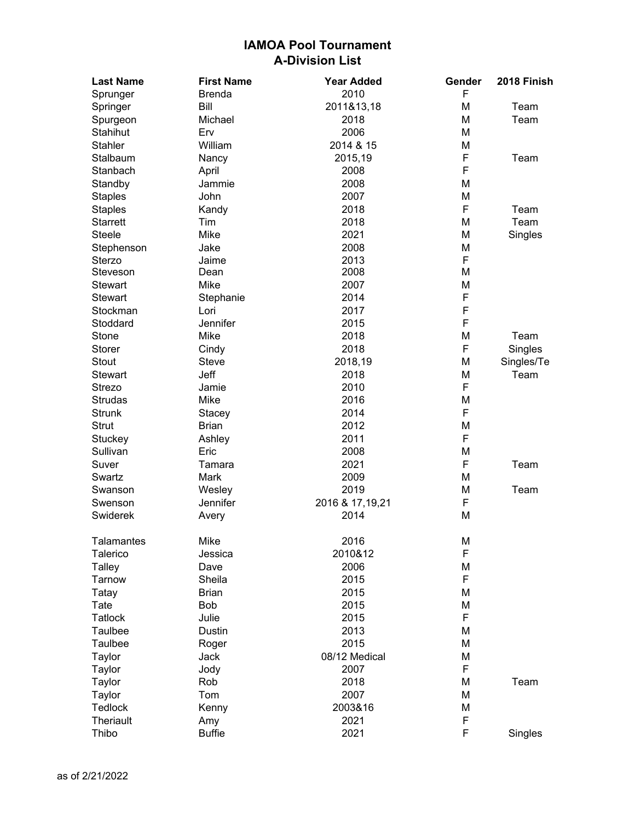| <b>Last Name</b> | <b>First Name</b> | <b>Year Added</b> | Gender | 2018 Finish |
|------------------|-------------------|-------------------|--------|-------------|
| Sprunger         | <b>Brenda</b>     | 2010              | F      |             |
| Springer         | Bill              | 2011&13,18        | М      | Team        |
| Spurgeon         | Michael           | 2018              | М      | Team        |
| Stahihut         | Erv               | 2006              | М      |             |
| <b>Stahler</b>   | William           | 2014 & 15         | Μ      |             |
| Stalbaum         | Nancy             | 2015,19           | F      | Team        |
| Stanbach         | April             | 2008              | F      |             |
| Standby          | Jammie            | 2008              | Μ      |             |
| <b>Staples</b>   | John              | 2007              | Μ      |             |
| <b>Staples</b>   | Kandy             | 2018              | F      | Team        |
| <b>Starrett</b>  | Tim               | 2018              | M      | Team        |
| <b>Steele</b>    | Mike              | 2021              | Μ      | Singles     |
| Stephenson       | Jake              | 2008              | Μ      |             |
| Sterzo           | Jaime             | 2013              | F      |             |
| Steveson         | Dean              | 2008              | Μ      |             |
| <b>Stewart</b>   | Mike              | 2007              | Μ      |             |
| <b>Stewart</b>   | Stephanie         | 2014              | F      |             |
| Stockman         | Lori              | 2017              | F      |             |
| Stoddard         | Jennifer          | 2015              | F      |             |
| Stone            | Mike              | 2018              | Μ      | Team        |
| Storer           | Cindy             | 2018              | F      | Singles     |
| Stout            | <b>Steve</b>      | 2018,19           | Μ      | Singles/Te  |
| Stewart          | Jeff              | 2018              | Μ      | Team        |
| Strezo           | Jamie             | 2010              | F      |             |
| <b>Strudas</b>   | Mike              | 2016              | Μ      |             |
| <b>Strunk</b>    | Stacey            | 2014              | F      |             |
| <b>Strut</b>     | <b>Brian</b>      | 2012              | Μ      |             |
| Stuckey          | Ashley            | 2011              | F      |             |
| Sullivan         | Eric              | 2008              | Μ      |             |
| Suver            | Tamara            | 2021              | F      | Team        |
| Swartz           | Mark              | 2009              | Μ      |             |
| Swanson          | Wesley            | 2019              | Μ      | Team        |
| Swenson          | Jennifer          | 2016 & 17,19,21   | F      |             |
| Swiderek         | Avery             | 2014              | M      |             |
|                  |                   |                   |        |             |
| Talamantes       | Mike              | 2016              | М      |             |
| Talerico         | Jessica           | 2010&12           | F      |             |
| Talley           | Dave              | 2006              | Μ      |             |
| Tarnow           | Sheila            | 2015              | F      |             |
| Tatay            | <b>Brian</b>      | 2015              | Μ      |             |
| Tate             | Bob               | 2015              | Μ      |             |
| <b>Tatlock</b>   | Julie             | 2015              | F      |             |
| Taulbee          | Dustin            | 2013              | Μ      |             |
| Taulbee          | Roger             | 2015              | Μ      |             |
| Taylor           | Jack              | 08/12 Medical     | Μ      |             |
| Taylor           | Jody              | 2007              | F      |             |
| Taylor           | Rob               | 2018              | Μ      | Team        |
| Taylor           | Tom               | 2007              | Μ      |             |
| Tedlock          | Kenny             | 2003&16           | Μ      |             |
| Theriault        | Amy               | 2021              | F      |             |
| Thibo            | <b>Buffie</b>     | 2021              | F      | Singles     |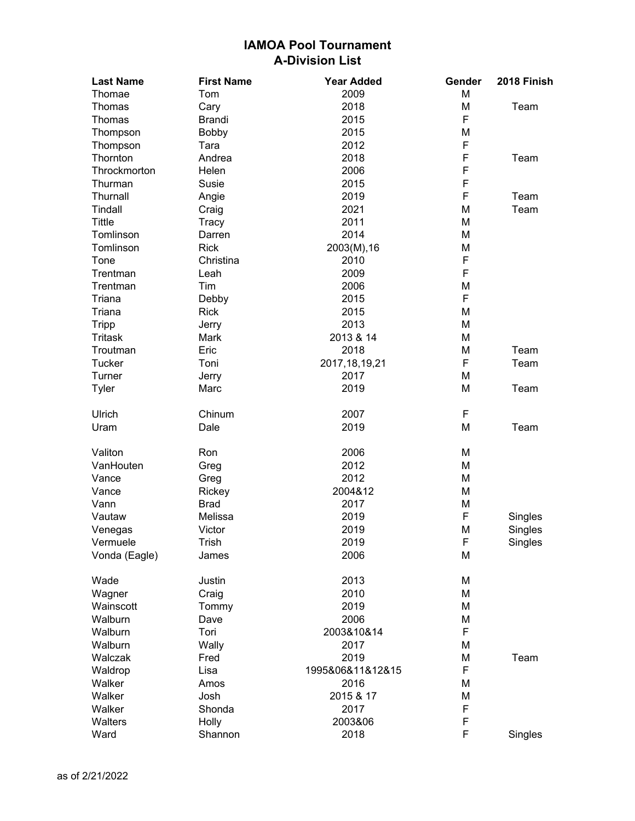| <b>Last Name</b> | <b>First Name</b> | <b>Year Added</b> | Gender | 2018 Finish |
|------------------|-------------------|-------------------|--------|-------------|
| Thomae           | Tom               | 2009              | M      |             |
| Thomas           | Cary              | 2018              | M      | Team        |
| Thomas           | <b>Brandi</b>     | 2015              | F      |             |
| Thompson         | Bobby             | 2015              | M      |             |
| Thompson         | Tara              | 2012              | F      |             |
| Thornton         | Andrea            | 2018              | F      | Team        |
| Throckmorton     | Helen             | 2006              | F      |             |
| Thurman          | Susie             | 2015              | F      |             |
| Thurnall         | Angie             | 2019              | F      | Team        |
| Tindall          | Craig             | 2021              | M      | Team        |
| <b>Tittle</b>    | Tracy             | 2011              | M      |             |
| Tomlinson        | Darren            | 2014              | M      |             |
| Tomlinson        | <b>Rick</b>       | 2003(M), 16       | M      |             |
| Tone             | Christina         | 2010              | F      |             |
| Trentman         | Leah              | 2009              | F      |             |
|                  |                   | 2006              |        |             |
| Trentman         | Tim               |                   | M<br>F |             |
| Triana           | Debby             | 2015              |        |             |
| Triana           | <b>Rick</b>       | 2015              | M      |             |
| <b>Tripp</b>     | Jerry             | 2013              | M      |             |
| <b>Tritask</b>   | Mark              | 2013 & 14         | M      |             |
| Troutman         | Eric              | 2018              | M      | Team        |
| <b>Tucker</b>    | Toni              | 2017, 18, 19, 21  | F      | Team        |
| Turner           | Jerry             | 2017              | M      |             |
| Tyler            | Marc              | 2019              | M      | Team        |
| Ulrich           | Chinum            | 2007              | F      |             |
| Uram             | Dale              | 2019              | M      | Team        |
| Valiton          | Ron               | 2006              | M      |             |
| VanHouten        | Greg              | 2012              | M      |             |
| Vance            | Greg              | 2012              | M      |             |
| Vance            | Rickey            | 2004&12           | M      |             |
| Vann             | <b>Brad</b>       | 2017              | M      |             |
| Vautaw           | Melissa           | 2019              | F      | Singles     |
| Venegas          | Victor            | 2019              | M      | Singles     |
| Vermuele         | Trish             | 2019              | ۴      | Singles     |
| Vonda (Eagle)    | James             | 2006              | M      |             |
| Wade             | Justin            | 2013              | M      |             |
| Wagner           | Craig             | 2010              | M      |             |
| Wainscott        | Tommy             | 2019              | M      |             |
| Walburn          | Dave              | 2006              | M      |             |
| Walburn          | Tori              | 2003&10&14        | F      |             |
| Walburn          | Wally             | 2017              | M      |             |
| Walczak          | Fred              | 2019              | M      | Team        |
| Waldrop          | Lisa              | 1995&06&11&12&15  | F      |             |
| Walker           | Amos              | 2016              | M      |             |
| Walker           | Josh              | 2015 & 17         | M      |             |
| Walker           | Shonda            | 2017              | F      |             |
| Walters          | Holly             | 2003&06           | F      |             |
| Ward             | Shannon           | 2018              | F      | Singles     |
|                  |                   |                   |        |             |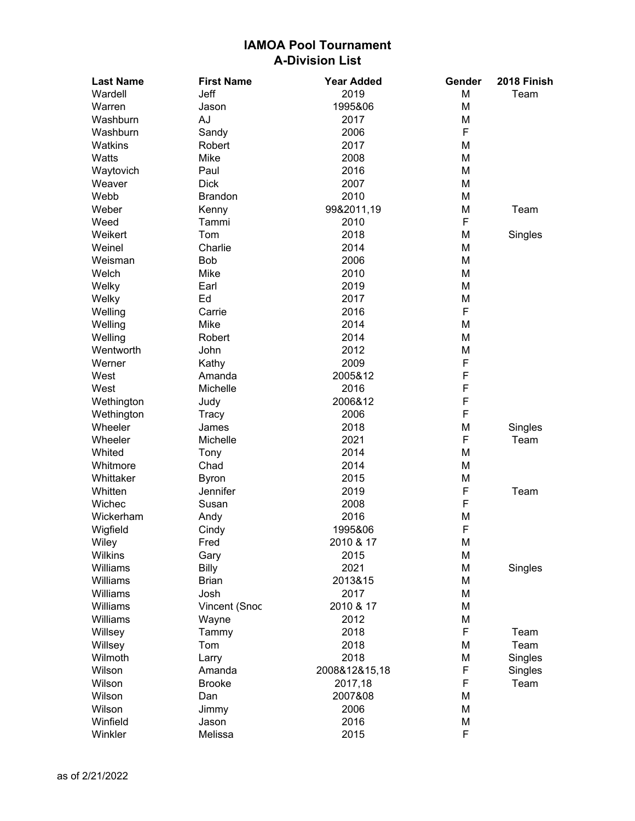| <b>Last Name</b> | <b>First Name</b> | <b>Year Added</b> | Gender | 2018 Finish |
|------------------|-------------------|-------------------|--------|-------------|
| Wardell          | Jeff              | 2019              | M      | Team        |
| Warren           | Jason             | 1995&06           | M      |             |
| Washburn         | AJ                | 2017              | M      |             |
| Washburn         | Sandy             | 2006              | F      |             |
| Watkins          | Robert            | 2017              | M      |             |
| Watts            | Mike              | 2008              | M      |             |
| Waytovich        | Paul              | 2016              | M      |             |
| Weaver           | <b>Dick</b>       | 2007              | M      |             |
| Webb             | <b>Brandon</b>    | 2010              | M      |             |
| Weber            | Kenny             | 99&2011,19        | M      | Team        |
| Weed             | Tammi             | 2010              | F      |             |
| Weikert          | Tom               | 2018              | M      | Singles     |
| Weinel           | Charlie           | 2014              | M      |             |
| Weisman          | <b>Bob</b>        | 2006              | M      |             |
| Welch            | Mike              | 2010              | M      |             |
| Welky            | Earl              | 2019              | M      |             |
| Welky            | Ed                | 2017              | M      |             |
| Welling          | Carrie            | 2016              | F      |             |
| Welling          | Mike              | 2014              | M      |             |
| Welling          | Robert            | 2014              | M      |             |
| Wentworth        | John              | 2012              | M      |             |
| Werner           | Kathy             | 2009              | F      |             |
| West             | Amanda            | 2005&12           | F      |             |
| West             | Michelle          | 2016              | F      |             |
| Wethington       | Judy              | 2006&12           | F      |             |
| Wethington       | Tracy             | 2006              | F      |             |
| Wheeler          | James             | 2018              | M      | Singles     |
| Wheeler          | Michelle          | 2021              | F      | Team        |
| Whited           | Tony              | 2014              | M      |             |
| Whitmore         | Chad              | 2014              | M      |             |
| Whittaker        | <b>Byron</b>      | 2015              | M      |             |
| Whitten          | Jennifer          | 2019              | F      | Team        |
| Wichec           | Susan             | 2008              | F      |             |
| Wickerham        | Andy              | 2016              | M      |             |
| Wigfield         | Cindy             | 1995&06           | F      |             |
| Wiley            | Fred              | 2010 & 17         | M      |             |
| Wilkins          | Gary              | 2015              | M      |             |
| Williams         | <b>Billy</b>      | 2021              | M      | Singles     |
| Williams         | <b>Brian</b>      | 2013&15           | M      |             |
| Williams         | Josh              | 2017              | M      |             |
| Williams         | Vincent (Snoc     | 2010 & 17         | M      |             |
| Williams         | Wayne             | 2012              | M      |             |
| Willsey          | Tammy             | 2018              | F      | Team        |
| Willsey          | Tom               | 2018              | M      | Team        |
| Wilmoth          | Larry             | 2018              | M      | Singles     |
| Wilson           | Amanda            | 2008&12&15,18     | F      | Singles     |
| Wilson           | <b>Brooke</b>     | 2017,18           | F      | Team        |
| Wilson           | Dan               | 2007&08           | M      |             |
| Wilson           | Jimmy             | 2006              | M      |             |
| Winfield         | Jason             | 2016              | M      |             |
| Winkler          | Melissa           | 2015              | F      |             |